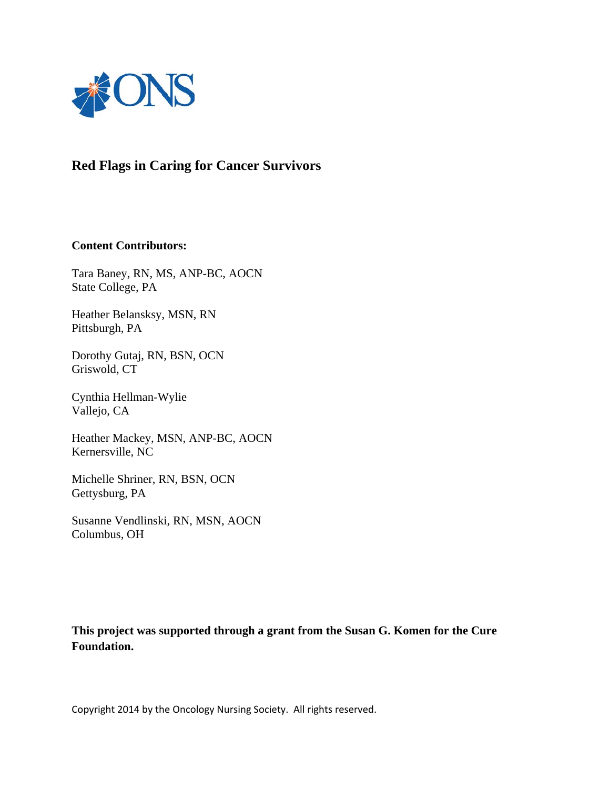

# **Red Flags in Caring for Cancer Survivors**

### **Content Contributors:**

Tara Baney, RN, MS, ANP-BC, AOCN State College, PA

Heather Belansksy, MSN, RN Pittsburgh, PA

Dorothy Gutaj, RN, BSN, OCN Griswold, CT

Cynthia Hellman-Wylie Vallejo, CA

Heather Mackey, MSN, ANP-BC, AOCN Kernersville, NC

Michelle Shriner, RN, BSN, OCN Gettysburg, PA

Susanne Vendlinski, RN, MSN, AOCN Columbus, OH

**This project was supported through a grant from the Susan G. Komen for the Cure Foundation.**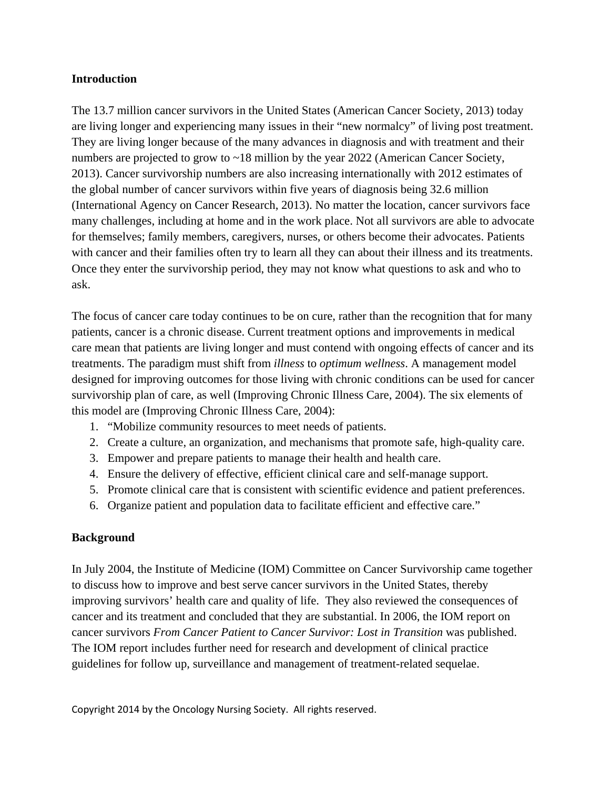### **Introduction**

The 13.7 million cancer survivors in the United States (American Cancer Society, 2013) today are living longer and experiencing many issues in their "new normalcy" of living post treatment. They are living longer because of the many advances in diagnosis and with treatment and their numbers are projected to grow to ~18 million by the year 2022 (American Cancer Society, 2013). Cancer survivorship numbers are also increasing internationally with 2012 estimates of the global number of cancer survivors within five years of diagnosis being 32.6 million (International Agency on Cancer Research, 2013). No matter the location, cancer survivors face many challenges, including at home and in the work place. Not all survivors are able to advocate for themselves; family members, caregivers, nurses, or others become their advocates. Patients with cancer and their families often try to learn all they can about their illness and its treatments. Once they enter the survivorship period, they may not know what questions to ask and who to ask.

The focus of cancer care today continues to be on cure, rather than the recognition that for many patients, cancer is a chronic disease. Current treatment options and improvements in medical care mean that patients are living longer and must contend with ongoing effects of cancer and its treatments. The paradigm must shift from *illness* to *optimum wellness*. A management model designed for improving outcomes for those living with chronic conditions can be used for cancer survivorship plan of care, as well (Improving Chronic Illness Care, 2004). The six elements of this model are (Improving Chronic Illness Care, 2004):

- 1. "Mobilize community resources to meet needs of patients.
- 2. Create a culture, an organization, and mechanisms that promote safe, high-quality care.
- 3. Empower and prepare patients to manage their health and health care.
- 4. Ensure the delivery of effective, efficient clinical care and self-manage support.
- 5. Promote clinical care that is consistent with scientific evidence and patient preferences.
- 6. Organize patient and population data to facilitate efficient and effective care."

### **Background**

In July 2004, the Institute of Medicine (IOM) Committee on Cancer Survivorship came together to discuss how to improve and best serve cancer survivors in the United States, thereby improving survivors' health care and quality of life. They also reviewed the consequences of cancer and its treatment and concluded that they are substantial. In 2006, the IOM report on cancer survivors *From Cancer Patient to Cancer Survivor: Lost in Transition* was published. The IOM report includes further need for research and development of clinical practice guidelines for follow up, surveillance and management of treatment-related sequelae.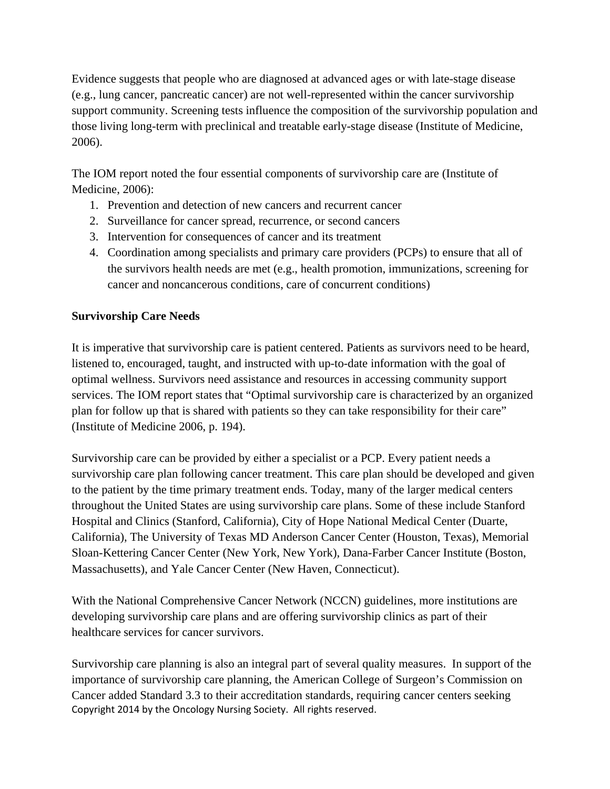Evidence suggests that people who are diagnosed at advanced ages or with late-stage disease (e.g., lung cancer, pancreatic cancer) are not well-represented within the cancer survivorship support community. Screening tests influence the composition of the survivorship population and those living long-term with preclinical and treatable early-stage disease (Institute of Medicine, 2006).

The IOM report noted the four essential components of survivorship care are (Institute of Medicine, 2006):

- 1. Prevention and detection of new cancers and recurrent cancer
- 2. Surveillance for cancer spread, recurrence, or second cancers
- 3. Intervention for consequences of cancer and its treatment
- 4. Coordination among specialists and primary care providers (PCPs) to ensure that all of the survivors health needs are met (e.g., health promotion, immunizations, screening for cancer and noncancerous conditions, care of concurrent conditions)

# **Survivorship Care Needs**

It is imperative that survivorship care is patient centered. Patients as survivors need to be heard, listened to, encouraged, taught, and instructed with up-to-date information with the goal of optimal wellness. Survivors need assistance and resources in accessing community support services. The IOM report states that "Optimal survivorship care is characterized by an organized plan for follow up that is shared with patients so they can take responsibility for their care" (Institute of Medicine 2006, p. 194).

Survivorship care can be provided by either a specialist or a PCP. Every patient needs a survivorship care plan following cancer treatment. This care plan should be developed and given to the patient by the time primary treatment ends. Today, many of the larger medical centers throughout the United States are using survivorship care plans. Some of these include Stanford Hospital and Clinics (Stanford, California), City of Hope National Medical Center (Duarte, California), The University of Texas MD Anderson Cancer Center (Houston, Texas), Memorial Sloan-Kettering Cancer Center (New York, New York), Dana-Farber Cancer Institute (Boston, Massachusetts), and Yale Cancer Center (New Haven, Connecticut).

With the National Comprehensive Cancer Network (NCCN) guidelines, more institutions are developing survivorship care plans and are offering survivorship clinics as part of their healthcare services for cancer survivors.

Copyright 2014 by the Oncology Nursing Society. All rights reserved. Survivorship care planning is also an integral part of several quality measures. In support of the importance of survivorship care planning, the American College of Surgeon's Commission on Cancer added Standard 3.3 to their accreditation standards, requiring cancer centers seeking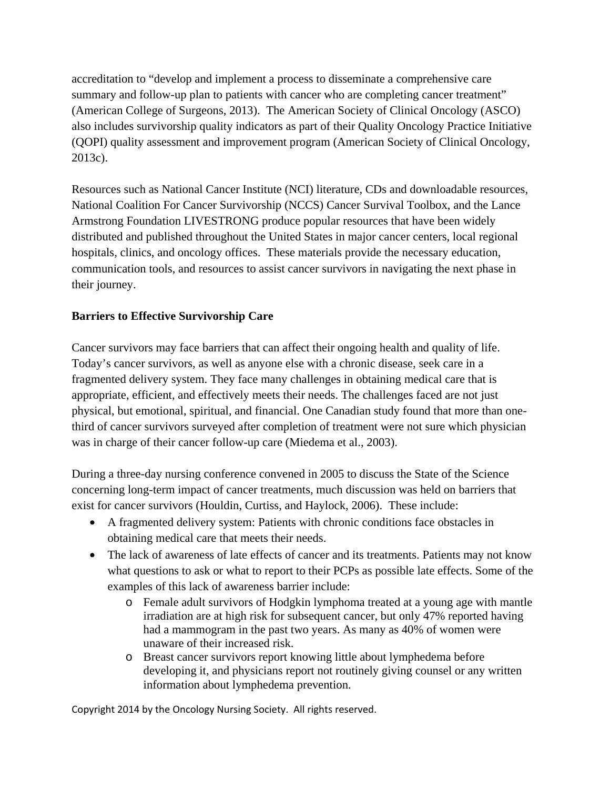accreditation to "develop and implement a process to disseminate a comprehensive care summary and follow-up plan to patients with cancer who are completing cancer treatment" (American College of Surgeons, 2013). The American Society of Clinical Oncology (ASCO) also includes survivorship quality indicators as part of their Quality Oncology Practice Initiative (QOPI) quality assessment and improvement program (American Society of Clinical Oncology, 2013c).

Resources such as National Cancer Institute (NCI) literature, CDs and downloadable resources, National Coalition For Cancer Survivorship (NCCS) Cancer Survival Toolbox, and the Lance Armstrong Foundation LIVESTRONG produce popular resources that have been widely distributed and published throughout the United States in major cancer centers, local regional hospitals, clinics, and oncology offices. These materials provide the necessary education, communication tools, and resources to assist cancer survivors in navigating the next phase in their journey.

# **Barriers to Effective Survivorship Care**

Cancer survivors may face barriers that can affect their ongoing health and quality of life. Today's cancer survivors, as well as anyone else with a chronic disease, seek care in a fragmented delivery system. They face many challenges in obtaining medical care that is appropriate, efficient, and effectively meets their needs. The challenges faced are not just physical, but emotional, spiritual, and financial. One Canadian study found that more than onethird of cancer survivors surveyed after completion of treatment were not sure which physician was in charge of their cancer follow-up care (Miedema et al., 2003).

During a three-day nursing conference convened in 2005 to discuss the State of the Science concerning long-term impact of cancer treatments, much discussion was held on barriers that exist for cancer survivors (Houldin, Curtiss, and Haylock, 2006). These include:

- A fragmented delivery system: Patients with chronic conditions face obstacles in obtaining medical care that meets their needs.
- The lack of awareness of late effects of cancer and its treatments. Patients may not know what questions to ask or what to report to their PCPs as possible late effects. Some of the examples of this lack of awareness barrier include:
	- o Female adult survivors of Hodgkin lymphoma treated at a young age with mantle irradiation are at high risk for subsequent cancer, but only 47% reported having had a mammogram in the past two years. As many as 40% of women were unaware of their increased risk.
	- o Breast cancer survivors report knowing little about lymphedema before developing it, and physicians report not routinely giving counsel or any written information about lymphedema prevention.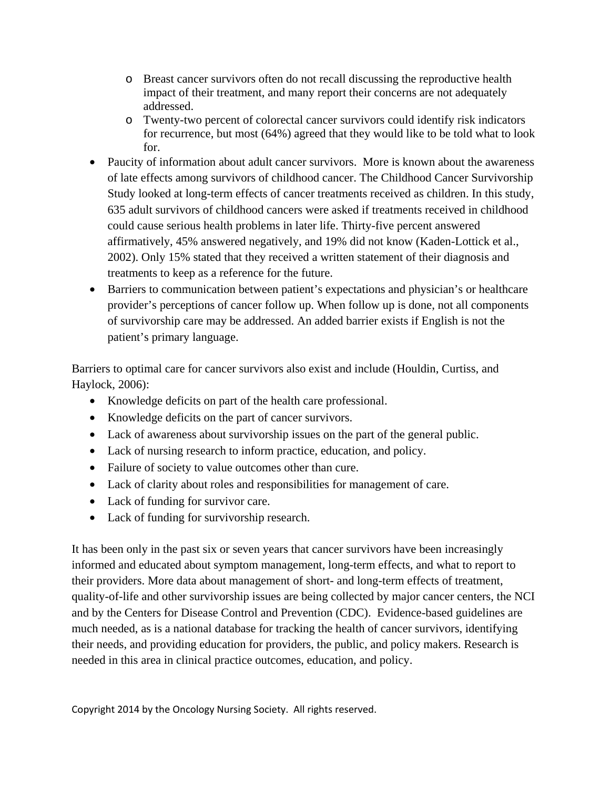- o Breast cancer survivors often do not recall discussing the reproductive health impact of their treatment, and many report their concerns are not adequately addressed.
- o Twenty-two percent of colorectal cancer survivors could identify risk indicators for recurrence, but most (64%) agreed that they would like to be told what to look for.
- Paucity of information about adult cancer survivors. More is known about the awareness of late effects among survivors of childhood cancer. The Childhood Cancer Survivorship Study looked at long-term effects of cancer treatments received as children. In this study, 635 adult survivors of childhood cancers were asked if treatments received in childhood could cause serious health problems in later life. Thirty-five percent answered affirmatively, 45% answered negatively, and 19% did not know (Kaden-Lottick et al., 2002). Only 15% stated that they received a written statement of their diagnosis and treatments to keep as a reference for the future.
- Barriers to communication between patient's expectations and physician's or healthcare provider's perceptions of cancer follow up. When follow up is done, not all components of survivorship care may be addressed. An added barrier exists if English is not the patient's primary language.

Barriers to optimal care for cancer survivors also exist and include (Houldin, Curtiss, and Haylock, 2006):

- Knowledge deficits on part of the health care professional.
- Knowledge deficits on the part of cancer survivors.
- Lack of awareness about survivorship issues on the part of the general public.
- Lack of nursing research to inform practice, education, and policy.
- Failure of society to value outcomes other than cure.
- Lack of clarity about roles and responsibilities for management of care.
- Lack of funding for survivor care.
- Lack of funding for survivorship research.

It has been only in the past six or seven years that cancer survivors have been increasingly informed and educated about symptom management, long-term effects, and what to report to their providers. More data about management of short- and long-term effects of treatment, quality-of-life and other survivorship issues are being collected by major cancer centers, the NCI and by the Centers for Disease Control and Prevention (CDC). Evidence-based guidelines are much needed, as is a national database for tracking the health of cancer survivors, identifying their needs, and providing education for providers, the public, and policy makers. Research is needed in this area in clinical practice outcomes, education, and policy.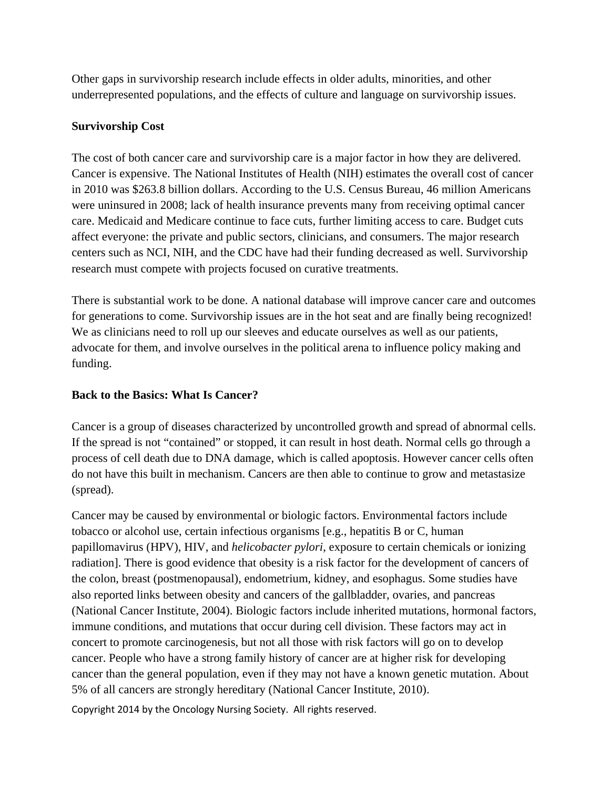Other gaps in survivorship research include effects in older adults, minorities, and other underrepresented populations, and the effects of culture and language on survivorship issues.

# **Survivorship Cost**

The cost of both cancer care and survivorship care is a major factor in how they are delivered. Cancer is expensive. The National Institutes of Health (NIH) estimates the overall cost of cancer in 2010 was \$263.8 billion dollars. According to the U.S. Census Bureau, 46 million Americans were uninsured in 2008; lack of health insurance prevents many from receiving optimal cancer care. Medicaid and Medicare continue to face cuts, further limiting access to care. Budget cuts affect everyone: the private and public sectors, clinicians, and consumers. The major research centers such as NCI, NIH, and the CDC have had their funding decreased as well. Survivorship research must compete with projects focused on curative treatments.

There is substantial work to be done. A national database will improve cancer care and outcomes for generations to come. Survivorship issues are in the hot seat and are finally being recognized! We as clinicians need to roll up our sleeves and educate ourselves as well as our patients, advocate for them, and involve ourselves in the political arena to influence policy making and funding.

# **Back to the Basics: What Is Cancer?**

Cancer is a group of diseases characterized by uncontrolled growth and spread of abnormal cells. If the spread is not "contained" or stopped, it can result in host death. Normal cells go through a process of cell death due to DNA damage, which is called apoptosis. However cancer cells often do not have this built in mechanism. Cancers are then able to continue to grow and metastasize (spread).

Cancer may be caused by environmental or biologic factors. Environmental factors include tobacco or alcohol use, certain infectious organisms [e.g., hepatitis B or C, human papillomavirus (HPV), HIV, and *helicobacter pylori*, exposure to certain chemicals or ionizing radiation]. There is good evidence that obesity is a risk factor for the development of cancers of the colon, breast (postmenopausal), endometrium, kidney, and esophagus. Some studies have also reported links between obesity and cancers of the gallbladder, ovaries, and pancreas (National Cancer Institute, 2004). Biologic factors include inherited mutations, hormonal factors, immune conditions, and mutations that occur during cell division. These factors may act in concert to promote carcinogenesis, but not all those with risk factors will go on to develop cancer. People who have a strong family history of cancer are at higher risk for developing cancer than the general population, even if they may not have a known genetic mutation. About 5% of all cancers are strongly hereditary (National Cancer Institute, 2010).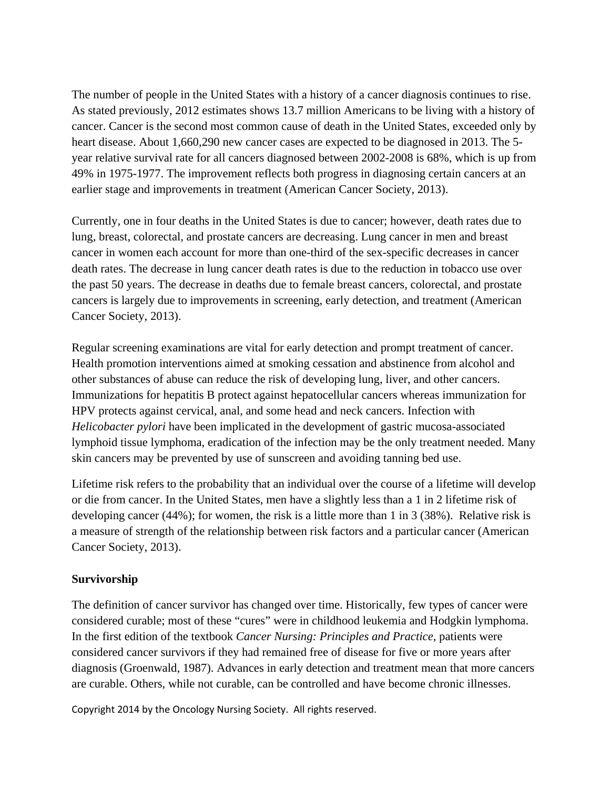The number of people in the United States with a history of a cancer diagnosis continues to rise. As stated previously, 2012 estimates shows 13.7 million Americans to be living with a history of cancer. Cancer is the second most common cause of death in the United States, exceeded only by heart disease. About 1,660,290 new cancer cases are expected to be diagnosed in 2013. The 5 year relative survival rate for all cancers diagnosed between 2002-2008 is 68%, which is up from 49% in 1975-1977. The improvement reflects both progress in diagnosing certain cancers at an earlier stage and improvements in treatment (American Cancer Society, 2013).

Currently, one in four deaths in the United States is due to cancer; however, death rates due to lung, breast, colorectal, and prostate cancers are decreasing. Lung cancer in men and breast cancer in women each account for more than one-third of the sex-specific decreases in cancer death rates. The decrease in lung cancer death rates is due to the reduction in tobacco use over the past 50 years. The decrease in deaths due to female breast cancers, colorectal, and prostate cancers is largely due to improvements in screening, early detection, and treatment (American Cancer Society, 2013).

Regular screening examinations are vital for early detection and prompt treatment of cancer. Health promotion interventions aimed at smoking cessation and abstinence from alcohol and other substances of abuse can reduce the risk of developing lung, liver, and other cancers. Immunizations for hepatitis B protect against hepatocellular cancers whereas immunization for HPV protects against cervical, anal, and some head and neck cancers. Infection with *Helicobacter pylori* have been implicated in the development of gastric mucosa-associated lymphoid tissue lymphoma, eradication of the infection may be the only treatment needed. Many skin cancers may be prevented by use of sunscreen and avoiding tanning bed use.

Lifetime risk refers to the probability that an individual over the course of a lifetime will develop or die from cancer. In the United States, men have a slightly less than a 1 in 2 lifetime risk of developing cancer (44%); for women, the risk is a little more than 1 in 3 (38%). Relative risk is a measure of strength of the relationship between risk factors and a particular cancer (American Cancer Society, 2013).

### **Survivorship**

The definition of cancer survivor has changed over time. Historically, few types of cancer were considered curable; most of these "cures" were in childhood leukemia and Hodgkin lymphoma. In the first edition of the textbook *Cancer Nursing: Principles and Practice*, patients were considered cancer survivors if they had remained free of disease for five or more years after diagnosis (Groenwald, 1987). Advances in early detection and treatment mean that more cancers are curable. Others, while not curable, can be controlled and have become chronic illnesses.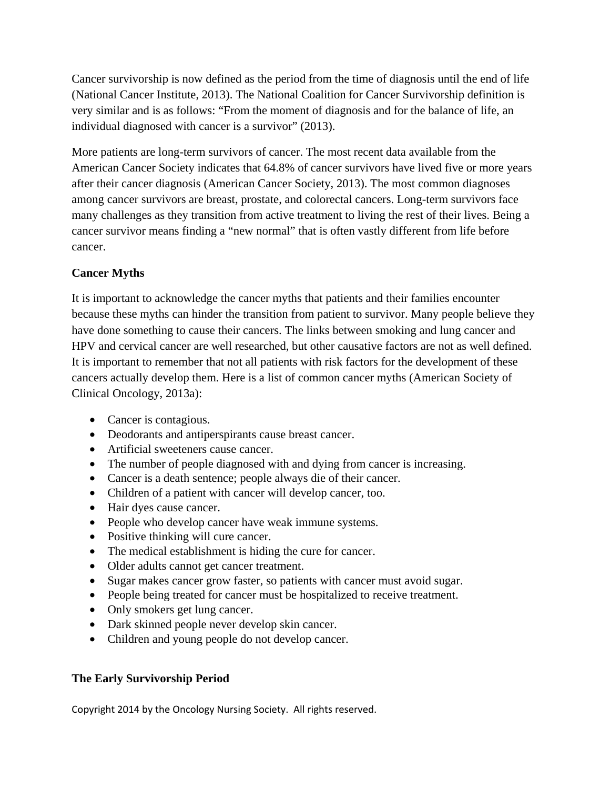Cancer survivorship is now defined as the period from the time of diagnosis until the end of life (National Cancer Institute, 2013). The National Coalition for Cancer Survivorship definition is very similar and is as follows: "From the moment of diagnosis and for the balance of life, an individual diagnosed with cancer is a survivor" (2013).

More patients are long-term survivors of cancer. The most recent data available from the American Cancer Society indicates that 64.8% of cancer survivors have lived five or more years after their cancer diagnosis (American Cancer Society, 2013). The most common diagnoses among cancer survivors are breast, prostate, and colorectal cancers. Long-term survivors face many challenges as they transition from active treatment to living the rest of their lives. Being a cancer survivor means finding a "new normal" that is often vastly different from life before cancer.

# **Cancer Myths**

It is important to acknowledge the cancer myths that patients and their families encounter because these myths can hinder the transition from patient to survivor. Many people believe they have done something to cause their cancers. The links between smoking and lung cancer and HPV and cervical cancer are well researched, but other causative factors are not as well defined. It is important to remember that not all patients with risk factors for the development of these cancers actually develop them. Here is a list of common cancer myths (American Society of Clinical Oncology, 2013a):

- Cancer is contagious.
- Deodorants and antiperspirants cause breast cancer.
- Artificial sweeteners cause cancer.
- The number of people diagnosed with and dying from cancer is increasing.
- Cancer is a death sentence; people always die of their cancer.
- Children of a patient with cancer will develop cancer, too.
- Hair dyes cause cancer.
- People who develop cancer have weak immune systems.
- Positive thinking will cure cancer.
- The medical establishment is hiding the cure for cancer.
- Older adults cannot get cancer treatment.
- Sugar makes cancer grow faster, so patients with cancer must avoid sugar.
- People being treated for cancer must be hospitalized to receive treatment.
- Only smokers get lung cancer.
- Dark skinned people never develop skin cancer.
- Children and young people do not develop cancer.

# **The Early Survivorship Period**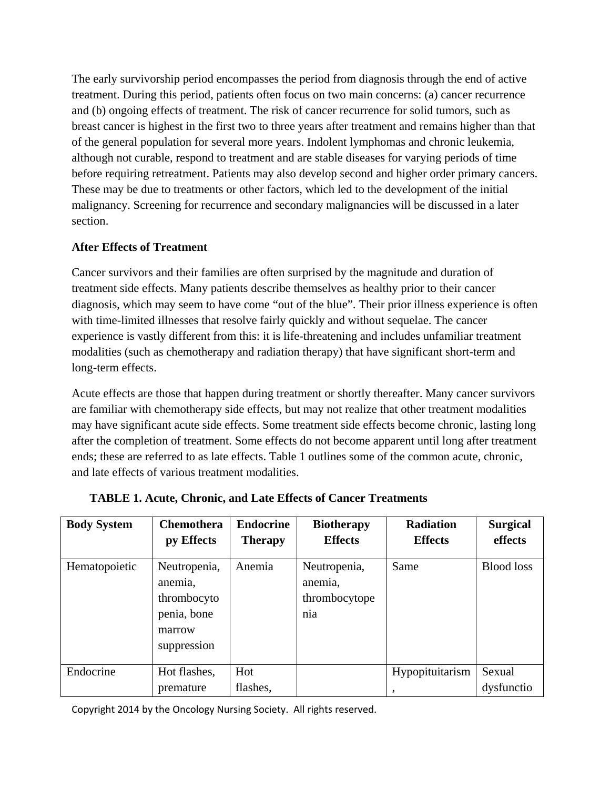The early survivorship period encompasses the period from diagnosis through the end of active treatment. During this period, patients often focus on two main concerns: (a) cancer recurrence and (b) ongoing effects of treatment. The risk of cancer recurrence for solid tumors, such as breast cancer is highest in the first two to three years after treatment and remains higher than that of the general population for several more years. Indolent lymphomas and chronic leukemia, although not curable, respond to treatment and are stable diseases for varying periods of time before requiring retreatment. Patients may also develop second and higher order primary cancers. These may be due to treatments or other factors, which led to the development of the initial malignancy. Screening for recurrence and secondary malignancies will be discussed in a later section.

# **After Effects of Treatment**

Cancer survivors and their families are often surprised by the magnitude and duration of treatment side effects. Many patients describe themselves as healthy prior to their cancer diagnosis, which may seem to have come "out of the blue". Their prior illness experience is often with time-limited illnesses that resolve fairly quickly and without sequelae. The cancer experience is vastly different from this: it is life-threatening and includes unfamiliar treatment modalities (such as chemotherapy and radiation therapy) that have significant short-term and long-term effects.

Acute effects are those that happen during treatment or shortly thereafter. Many cancer survivors are familiar with chemotherapy side effects, but may not realize that other treatment modalities may have significant acute side effects. Some treatment side effects become chronic, lasting long after the completion of treatment. Some effects do not become apparent until long after treatment ends; these are referred to as late effects. Table 1 outlines some of the common acute, chronic, and late effects of various treatment modalities.

| <b>Body System</b> | <b>Chemothera</b><br>py Effects                                                | <b>Endocrine</b><br><b>Therapy</b> | <b>Biotherapy</b><br><b>Effects</b>             | <b>Radiation</b><br><b>Effects</b> | <b>Surgical</b><br>effects |
|--------------------|--------------------------------------------------------------------------------|------------------------------------|-------------------------------------------------|------------------------------------|----------------------------|
| Hematopoietic      | Neutropenia,<br>anemia,<br>thrombocyto<br>penia, bone<br>marrow<br>suppression | Anemia                             | Neutropenia,<br>anemia,<br>thrombocytope<br>nia | Same                               | <b>Blood</b> loss          |
| Endocrine          | Hot flashes,                                                                   | Hot                                |                                                 | Hypopituitarism                    | Sexual                     |
|                    | premature                                                                      | flashes,                           |                                                 | ۰                                  | dysfunctio                 |

**TABLE 1. Acute, Chronic, and Late Effects of Cancer Treatments**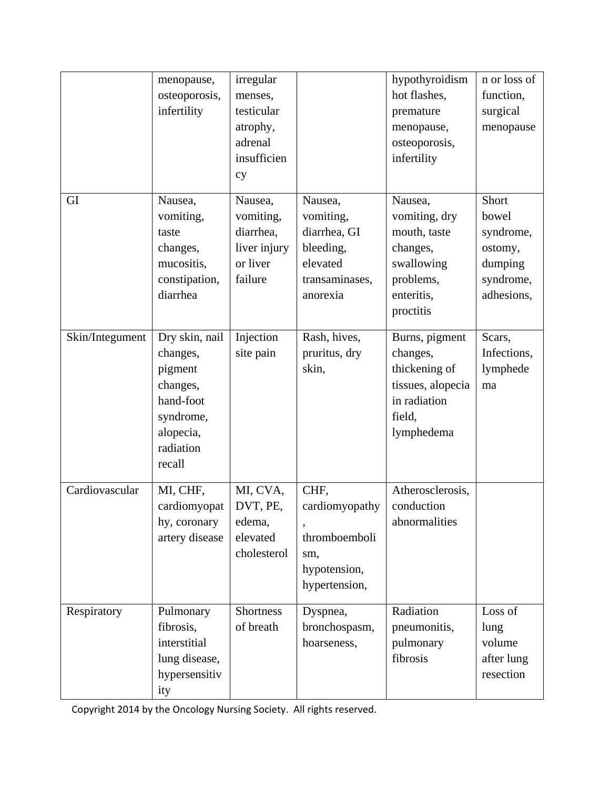|                 | menopause,<br>osteoporosis,<br>infertility                                                                      | irregular<br>menses,<br>testicular<br>atrophy,<br>adrenal<br>insufficien<br>cy |                                                                                             | hypothyroidism<br>hot flashes,<br>premature<br>menopause,<br>osteoporosis,<br>infertility                  | n or loss of<br>function,<br>surgical<br>menopause                           |
|-----------------|-----------------------------------------------------------------------------------------------------------------|--------------------------------------------------------------------------------|---------------------------------------------------------------------------------------------|------------------------------------------------------------------------------------------------------------|------------------------------------------------------------------------------|
| GI              | Nausea,<br>vomiting,<br>taste<br>changes,<br>mucositis,<br>constipation,<br>diarrhea                            | Nausea,<br>vomiting,<br>diarrhea,<br>liver injury<br>or liver<br>failure       | Nausea,<br>vomiting,<br>diarrhea, GI<br>bleeding,<br>elevated<br>transaminases,<br>anorexia | Nausea,<br>vomiting, dry<br>mouth, taste<br>changes,<br>swallowing<br>problems,<br>enteritis,<br>proctitis | Short<br>bowel<br>syndrome,<br>ostomy,<br>dumping<br>syndrome,<br>adhesions, |
| Skin/Integument | Dry skin, nail<br>changes,<br>pigment<br>changes,<br>hand-foot<br>syndrome,<br>alopecia,<br>radiation<br>recall | Injection<br>site pain                                                         | Rash, hives,<br>pruritus, dry<br>skin,                                                      | Burns, pigment<br>changes,<br>thickening of<br>tissues, alopecia<br>in radiation<br>field,<br>lymphedema   | Scars,<br>Infections,<br>lymphede<br>ma                                      |
| Cardiovascular  | MI, CHF,<br>cardiomyopat<br>hy, coronary<br>artery disease                                                      | MI, CVA,<br>DVT, PE,<br>edema,<br>elevated<br>cholesterol                      | CHF,<br>cardiomyopathy<br>thromboemboli<br>sm,<br>hypotension,<br>hypertension,             | Atherosclerosis,<br>conduction<br>abnormalities                                                            |                                                                              |
| Respiratory     | Pulmonary<br>fibrosis,<br>interstitial<br>lung disease,<br>hypersensitiv<br>ity                                 | Shortness<br>of breath                                                         | Dyspnea,<br>bronchospasm,<br>hoarseness,                                                    | Radiation<br>pneumonitis,<br>pulmonary<br>fibrosis                                                         | Loss of<br>lung<br>volume<br>after lung<br>resection                         |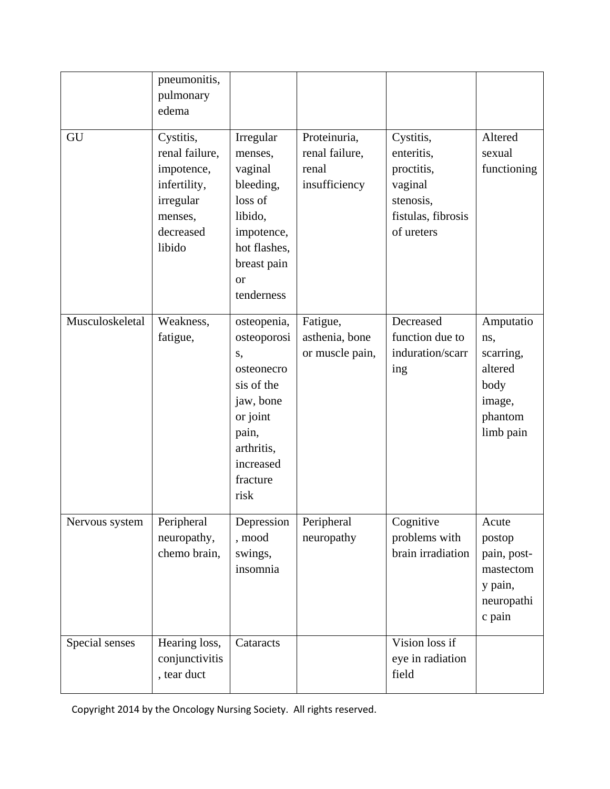|                 | pneumonitis,<br>pulmonary<br>edema                                                                       |                                                                                                                                               |                                                          |                                                                                                   |                                                                                    |
|-----------------|----------------------------------------------------------------------------------------------------------|-----------------------------------------------------------------------------------------------------------------------------------------------|----------------------------------------------------------|---------------------------------------------------------------------------------------------------|------------------------------------------------------------------------------------|
| GU              | Cystitis,<br>renal failure,<br>impotence,<br>infertility,<br>irregular<br>menses,<br>decreased<br>libido | Irregular<br>menses,<br>vaginal<br>bleeding,<br>loss of<br>libido,<br>impotence,<br>hot flashes,<br>breast pain<br><b>or</b><br>tenderness    | Proteinuria,<br>renal failure,<br>renal<br>insufficiency | Cystitis,<br>enteritis,<br>proctitis,<br>vaginal<br>stenosis,<br>fistulas, fibrosis<br>of ureters | Altered<br>sexual<br>functioning                                                   |
| Musculoskeletal | Weakness,<br>fatigue,                                                                                    | osteopenia,<br>osteoporosi<br>S,<br>osteonecro<br>sis of the<br>jaw, bone<br>or joint<br>pain,<br>arthritis,<br>increased<br>fracture<br>risk | Fatigue,<br>asthenia, bone<br>or muscle pain,            | Decreased<br>function due to<br>induration/scarr<br>ing                                           | Amputatio<br>ns,<br>scarring,<br>altered<br>body<br>image,<br>phantom<br>limb pain |
| Nervous system  | Peripheral<br>neuropathy,<br>chemo brain,                                                                | Depression<br>, mood<br>swings,<br>insomnia                                                                                                   | Peripheral<br>neuropathy                                 | Cognitive<br>problems with<br>brain irradiation                                                   | Acute<br>postop<br>pain, post-<br>mastectom<br>y pain,<br>neuropathi<br>c pain     |
| Special senses  | Hearing loss,<br>conjunctivitis<br>, tear duct                                                           | Cataracts                                                                                                                                     |                                                          | Vision loss if<br>eye in radiation<br>field                                                       |                                                                                    |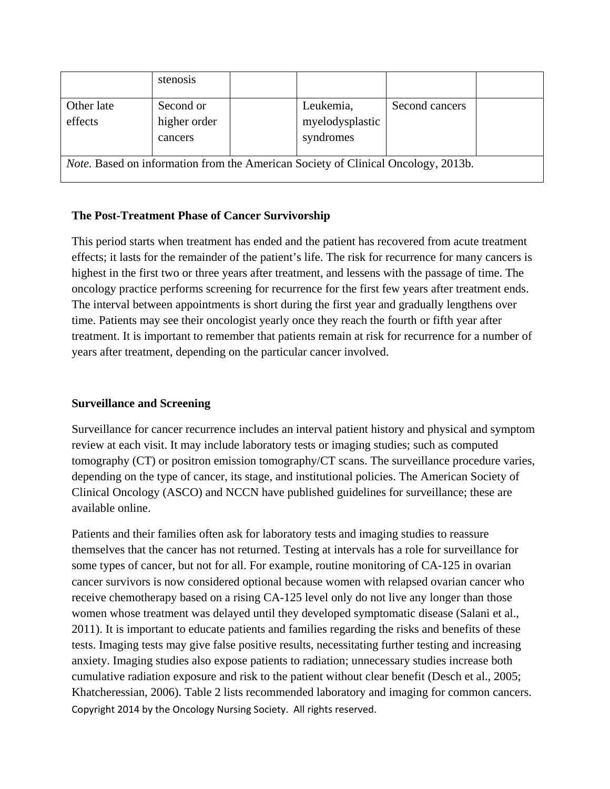|                                                                                          | stenosis     |  |                              |                |  |
|------------------------------------------------------------------------------------------|--------------|--|------------------------------|----------------|--|
| Other late                                                                               | Second or    |  | Leukemia,                    | Second cancers |  |
| effects                                                                                  | higher order |  | myelodysplastic<br>syndromes |                |  |
|                                                                                          | cancers      |  |                              |                |  |
|                                                                                          |              |  |                              |                |  |
| <i>Note.</i> Based on information from the American Society of Clinical Oncology, 2013b. |              |  |                              |                |  |

# **The Post-Treatment Phase of Cancer Survivorship**

This period starts when treatment has ended and the patient has recovered from acute treatment effects; it lasts for the remainder of the patient's life. The risk for recurrence for many cancers is highest in the first two or three years after treatment, and lessens with the passage of time. The oncology practice performs screening for recurrence for the first few years after treatment ends. The interval between appointments is short during the first year and gradually lengthens over time. Patients may see their oncologist yearly once they reach the fourth or fifth year after treatment. It is important to remember that patients remain at risk for recurrence for a number of years after treatment, depending on the particular cancer involved.

# **Surveillance and Screening**

Surveillance for cancer recurrence includes an interval patient history and physical and symptom review at each visit. It may include laboratory tests or imaging studies; such as computed tomography (CT) or positron emission tomography/CT scans. The surveillance procedure varies, depending on the type of cancer, its stage, and institutional policies. The American Society of Clinical Oncology (ASCO) and NCCN have published guidelines for surveillance; these are available online.

Copyright 2014 by the Oncology Nursing Society. All rights reserved. Patients and their families often ask for laboratory tests and imaging studies to reassure themselves that the cancer has not returned. Testing at intervals has a role for surveillance for some types of cancer, but not for all. For example, routine monitoring of CA-125 in ovarian cancer survivors is now considered optional because women with relapsed ovarian cancer who receive chemotherapy based on a rising CA-125 level only do not live any longer than those women whose treatment was delayed until they developed symptomatic disease (Salani et al., 2011). It is important to educate patients and families regarding the risks and benefits of these tests. Imaging tests may give false positive results, necessitating further testing and increasing anxiety. Imaging studies also expose patients to radiation; unnecessary studies increase both cumulative radiation exposure and risk to the patient without clear benefit (Desch et al., 2005; Khatcheressian, 2006). Table 2 lists recommended laboratory and imaging for common cancers.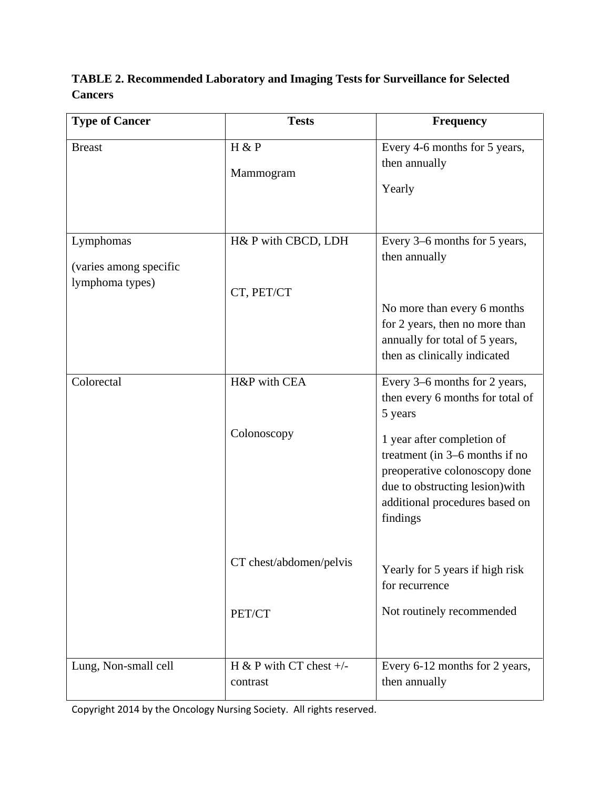# **TABLE 2. Recommended Laboratory and Imaging Tests for Surveillance for Selected Cancers**

| <b>Type of Cancer</b>                                  | <b>Tests</b>                          | <b>Frequency</b>                                                                                                                                                               |
|--------------------------------------------------------|---------------------------------------|--------------------------------------------------------------------------------------------------------------------------------------------------------------------------------|
| <b>Breast</b>                                          | H & P<br>Mammogram                    | Every 4-6 months for 5 years,<br>then annually<br>Yearly                                                                                                                       |
| Lymphomas<br>(varies among specific<br>lymphoma types) | H& P with CBCD, LDH<br>CT, PET/CT     | Every 3–6 months for 5 years,<br>then annually                                                                                                                                 |
|                                                        |                                       | No more than every 6 months<br>for 2 years, then no more than<br>annually for total of 5 years,<br>then as clinically indicated                                                |
| Colorectal                                             | H&P with CEA                          | Every 3–6 months for 2 years,<br>then every 6 months for total of<br>5 years                                                                                                   |
|                                                        | Colonoscopy                           | 1 year after completion of<br>treatment (in 3–6 months if no<br>preoperative colonoscopy done<br>due to obstructing lesion) with<br>additional procedures based on<br>findings |
|                                                        | CT chest/abdomen/pelvis               | Yearly for 5 years if high risk<br>for recurrence                                                                                                                              |
|                                                        | PET/CT                                | Not routinely recommended                                                                                                                                                      |
| Lung, Non-small cell                                   | H & P with CT chest $+/-$<br>contrast | Every 6-12 months for 2 years,<br>then annually                                                                                                                                |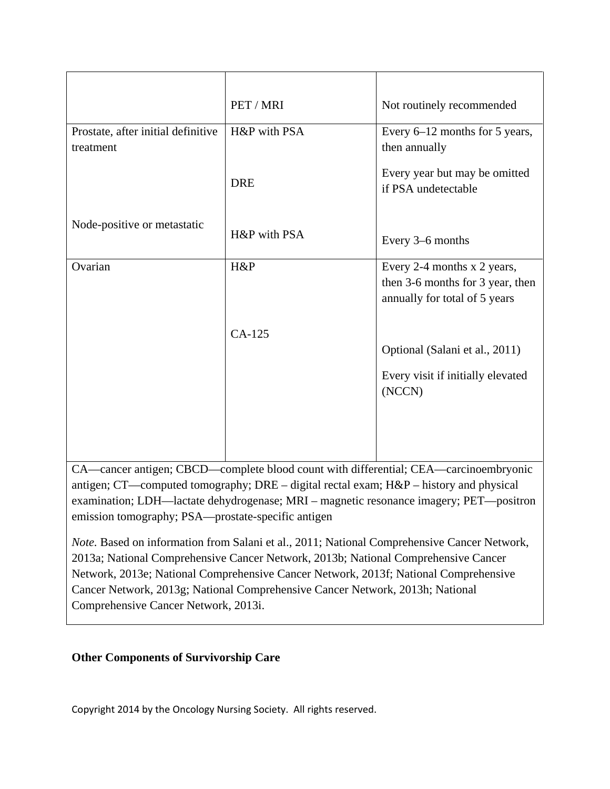|                                                 | PET / MRI    | Not routinely recommended                                                                        |
|-------------------------------------------------|--------------|--------------------------------------------------------------------------------------------------|
| Prostate, after initial definitive<br>treatment | H&P with PSA | Every 6–12 months for 5 years,<br>then annually                                                  |
|                                                 | <b>DRE</b>   | Every year but may be omitted<br>if PSA undetectable                                             |
| Node-positive or metastatic                     | H&P with PSA | Every 3–6 months                                                                                 |
| Ovarian                                         | H&P          | Every 2-4 months x 2 years,<br>then 3-6 months for 3 year, then<br>annually for total of 5 years |
|                                                 | $CA-125$     |                                                                                                  |
|                                                 |              | Optional (Salani et al., 2011)                                                                   |
|                                                 |              | Every visit if initially elevated<br>(NCCN)                                                      |
|                                                 |              |                                                                                                  |
|                                                 |              |                                                                                                  |

CA—cancer antigen; CBCD—complete blood count with differential; CEA—carcinoembryonic antigen; CT—computed tomography; DRE – digital rectal exam; H&P – history and physical examination; LDH—lactate dehydrogenase; MRI – magnetic resonance imagery; PET—positron emission tomography; PSA—prostate-specific antigen

*Note.* Based on information from Salani et al., 2011; National Comprehensive Cancer Network, 2013a; National Comprehensive Cancer Network, 2013b; National Comprehensive Cancer Network, 2013e; National Comprehensive Cancer Network, 2013f; National Comprehensive Cancer Network, 2013g; National Comprehensive Cancer Network, 2013h; National Comprehensive Cancer Network, 2013i.

# **Other Components of Survivorship Care**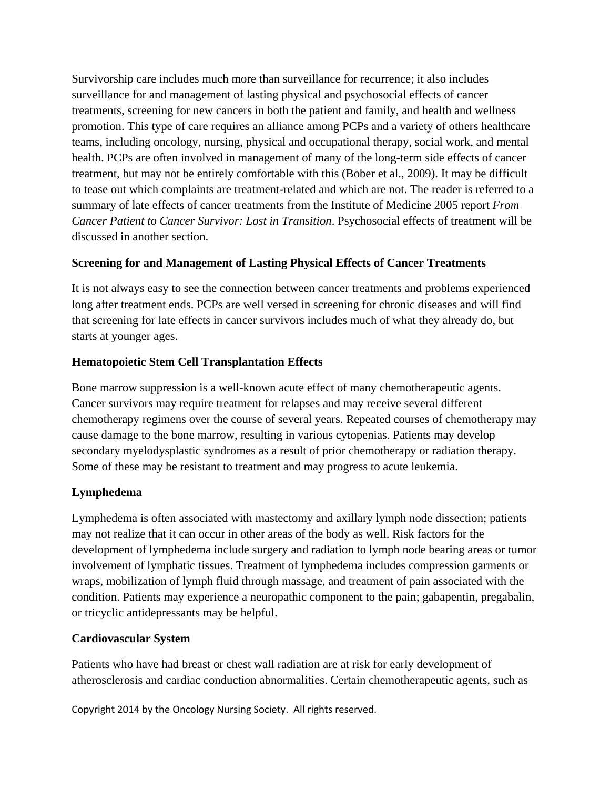Survivorship care includes much more than surveillance for recurrence; it also includes surveillance for and management of lasting physical and psychosocial effects of cancer treatments, screening for new cancers in both the patient and family, and health and wellness promotion. This type of care requires an alliance among PCPs and a variety of others healthcare teams, including oncology, nursing, physical and occupational therapy, social work, and mental health. PCPs are often involved in management of many of the long-term side effects of cancer treatment, but may not be entirely comfortable with this (Bober et al., 2009). It may be difficult to tease out which complaints are treatment-related and which are not. The reader is referred to a summary of late effects of cancer treatments from the Institute of Medicine 2005 report *From Cancer Patient to Cancer Survivor: Lost in Transition*. Psychosocial effects of treatment will be discussed in another section.

# **Screening for and Management of Lasting Physical Effects of Cancer Treatments**

It is not always easy to see the connection between cancer treatments and problems experienced long after treatment ends. PCPs are well versed in screening for chronic diseases and will find that screening for late effects in cancer survivors includes much of what they already do, but starts at younger ages.

# **Hematopoietic Stem Cell Transplantation Effects**

Bone marrow suppression is a well-known acute effect of many chemotherapeutic agents. Cancer survivors may require treatment for relapses and may receive several different chemotherapy regimens over the course of several years. Repeated courses of chemotherapy may cause damage to the bone marrow, resulting in various cytopenias. Patients may develop secondary myelodysplastic syndromes as a result of prior chemotherapy or radiation therapy. Some of these may be resistant to treatment and may progress to acute leukemia.

# **Lymphedema**

Lymphedema is often associated with mastectomy and axillary lymph node dissection; patients may not realize that it can occur in other areas of the body as well. Risk factors for the development of lymphedema include surgery and radiation to lymph node bearing areas or tumor involvement of lymphatic tissues. Treatment of lymphedema includes compression garments or wraps, mobilization of lymph fluid through massage, and treatment of pain associated with the condition. Patients may experience a neuropathic component to the pain; gabapentin, pregabalin, or tricyclic antidepressants may be helpful.

# **Cardiovascular System**

Patients who have had breast or chest wall radiation are at risk for early development of atherosclerosis and cardiac conduction abnormalities. Certain chemotherapeutic agents, such as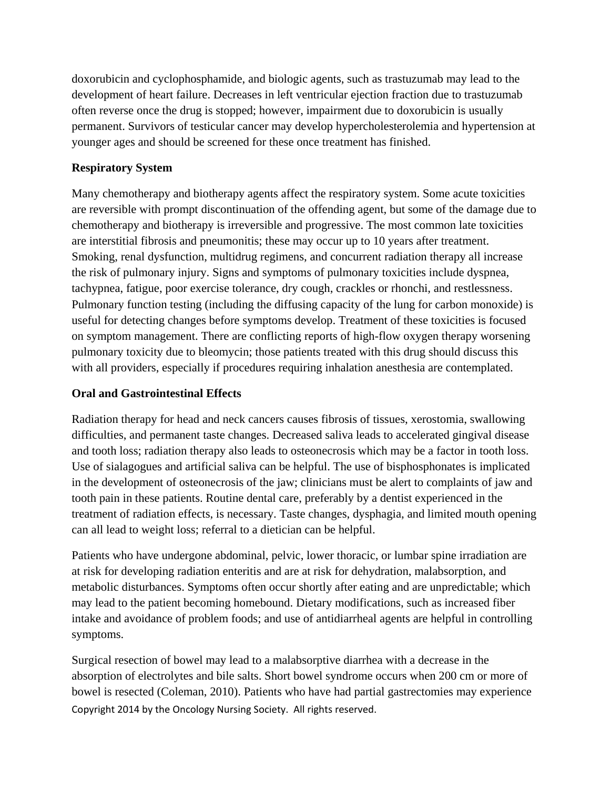doxorubicin and cyclophosphamide, and biologic agents, such as trastuzumab may lead to the development of heart failure. Decreases in left ventricular ejection fraction due to trastuzumab often reverse once the drug is stopped; however, impairment due to doxorubicin is usually permanent. Survivors of testicular cancer may develop hypercholesterolemia and hypertension at younger ages and should be screened for these once treatment has finished.

# **Respiratory System**

Many chemotherapy and biotherapy agents affect the respiratory system. Some acute toxicities are reversible with prompt discontinuation of the offending agent, but some of the damage due to chemotherapy and biotherapy is irreversible and progressive. The most common late toxicities are interstitial fibrosis and pneumonitis; these may occur up to 10 years after treatment. Smoking, renal dysfunction, multidrug regimens, and concurrent radiation therapy all increase the risk of pulmonary injury. Signs and symptoms of pulmonary toxicities include dyspnea, tachypnea, fatigue, poor exercise tolerance, dry cough, crackles or rhonchi, and restlessness. Pulmonary function testing (including the diffusing capacity of the lung for carbon monoxide) is useful for detecting changes before symptoms develop. Treatment of these toxicities is focused on symptom management. There are conflicting reports of high-flow oxygen therapy worsening pulmonary toxicity due to bleomycin; those patients treated with this drug should discuss this with all providers, especially if procedures requiring inhalation anesthesia are contemplated.

# **Oral and Gastrointestinal Effects**

Radiation therapy for head and neck cancers causes fibrosis of tissues, xerostomia, swallowing difficulties, and permanent taste changes. Decreased saliva leads to accelerated gingival disease and tooth loss; radiation therapy also leads to osteonecrosis which may be a factor in tooth loss. Use of sialagogues and artificial saliva can be helpful. The use of bisphosphonates is implicated in the development of osteonecrosis of the jaw; clinicians must be alert to complaints of jaw and tooth pain in these patients. Routine dental care, preferably by a dentist experienced in the treatment of radiation effects, is necessary. Taste changes, dysphagia, and limited mouth opening can all lead to weight loss; referral to a dietician can be helpful.

Patients who have undergone abdominal, pelvic, lower thoracic, or lumbar spine irradiation are at risk for developing radiation enteritis and are at risk for dehydration, malabsorption, and metabolic disturbances. Symptoms often occur shortly after eating and are unpredictable; which may lead to the patient becoming homebound. Dietary modifications, such as increased fiber intake and avoidance of problem foods; and use of antidiarrheal agents are helpful in controlling symptoms.

Copyright 2014 by the Oncology Nursing Society. All rights reserved. Surgical resection of bowel may lead to a malabsorptive diarrhea with a decrease in the absorption of electrolytes and bile salts. Short bowel syndrome occurs when 200 cm or more of bowel is resected (Coleman, 2010). Patients who have had partial gastrectomies may experience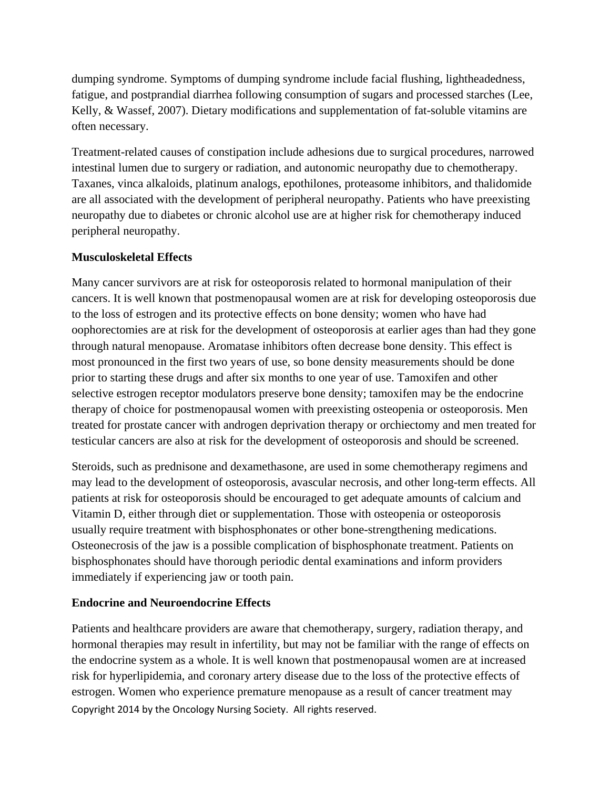dumping syndrome. Symptoms of dumping syndrome include facial flushing, lightheadedness, fatigue, and postprandial diarrhea following consumption of sugars and processed starches (Lee, Kelly, & Wassef, 2007). Dietary modifications and supplementation of fat-soluble vitamins are often necessary.

Treatment-related causes of constipation include adhesions due to surgical procedures, narrowed intestinal lumen due to surgery or radiation, and autonomic neuropathy due to chemotherapy. Taxanes, vinca alkaloids, platinum analogs, epothilones, proteasome inhibitors, and thalidomide are all associated with the development of peripheral neuropathy. Patients who have preexisting neuropathy due to diabetes or chronic alcohol use are at higher risk for chemotherapy induced peripheral neuropathy.

# **Musculoskeletal Effects**

Many cancer survivors are at risk for osteoporosis related to hormonal manipulation of their cancers. It is well known that postmenopausal women are at risk for developing osteoporosis due to the loss of estrogen and its protective effects on bone density; women who have had oophorectomies are at risk for the development of osteoporosis at earlier ages than had they gone through natural menopause. Aromatase inhibitors often decrease bone density. This effect is most pronounced in the first two years of use, so bone density measurements should be done prior to starting these drugs and after six months to one year of use. Tamoxifen and other selective estrogen receptor modulators preserve bone density; tamoxifen may be the endocrine therapy of choice for postmenopausal women with preexisting osteopenia or osteoporosis. Men treated for prostate cancer with androgen deprivation therapy or orchiectomy and men treated for testicular cancers are also at risk for the development of osteoporosis and should be screened.

Steroids, such as prednisone and dexamethasone, are used in some chemotherapy regimens and may lead to the development of osteoporosis, avascular necrosis, and other long-term effects. All patients at risk for osteoporosis should be encouraged to get adequate amounts of calcium and Vitamin D, either through diet or supplementation. Those with osteopenia or osteoporosis usually require treatment with bisphosphonates or other bone-strengthening medications. Osteonecrosis of the jaw is a possible complication of bisphosphonate treatment. Patients on bisphosphonates should have thorough periodic dental examinations and inform providers immediately if experiencing jaw or tooth pain.

# **Endocrine and Neuroendocrine Effects**

Copyright 2014 by the Oncology Nursing Society. All rights reserved. Patients and healthcare providers are aware that chemotherapy, surgery, radiation therapy, and hormonal therapies may result in infertility, but may not be familiar with the range of effects on the endocrine system as a whole. It is well known that postmenopausal women are at increased risk for hyperlipidemia, and coronary artery disease due to the loss of the protective effects of estrogen. Women who experience premature menopause as a result of cancer treatment may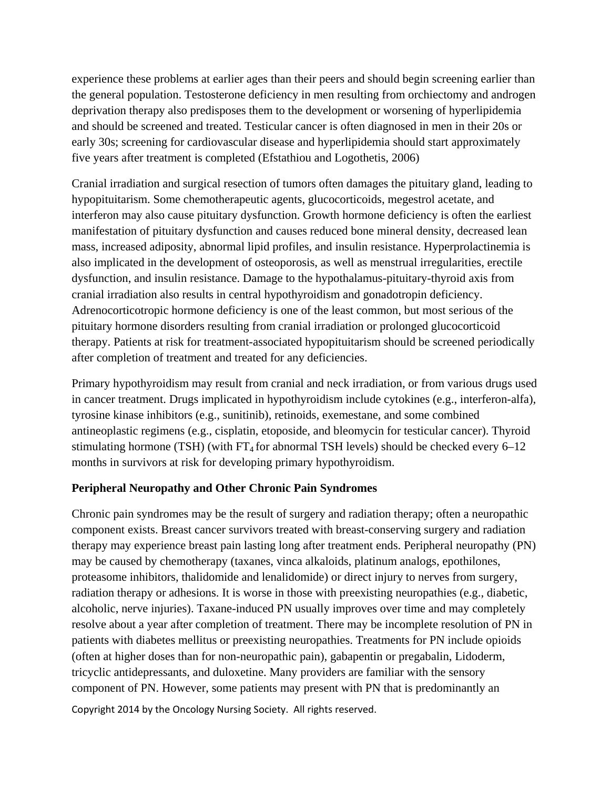experience these problems at earlier ages than their peers and should begin screening earlier than the general population. Testosterone deficiency in men resulting from orchiectomy and androgen deprivation therapy also predisposes them to the development or worsening of hyperlipidemia and should be screened and treated. Testicular cancer is often diagnosed in men in their 20s or early 30s; screening for cardiovascular disease and hyperlipidemia should start approximately five years after treatment is completed (Efstathiou and Logothetis, 2006)

Cranial irradiation and surgical resection of tumors often damages the pituitary gland, leading to hypopituitarism. Some chemotherapeutic agents, glucocorticoids, megestrol acetate, and interferon may also cause pituitary dysfunction. Growth hormone deficiency is often the earliest manifestation of pituitary dysfunction and causes reduced bone mineral density, decreased lean mass, increased adiposity, abnormal lipid profiles, and insulin resistance. Hyperprolactinemia is also implicated in the development of osteoporosis, as well as menstrual irregularities, erectile dysfunction, and insulin resistance. Damage to the hypothalamus-pituitary-thyroid axis from cranial irradiation also results in central hypothyroidism and gonadotropin deficiency. Adrenocorticotropic hormone deficiency is one of the least common, but most serious of the pituitary hormone disorders resulting from cranial irradiation or prolonged glucocorticoid therapy. Patients at risk for treatment-associated hypopituitarism should be screened periodically after completion of treatment and treated for any deficiencies.

Primary hypothyroidism may result from cranial and neck irradiation, or from various drugs used in cancer treatment. Drugs implicated in hypothyroidism include cytokines (e.g., interferon-alfa), tyrosine kinase inhibitors (e.g., sunitinib), retinoids, exemestane, and some combined antineoplastic regimens (e.g., cisplatin, etoposide, and bleomycin for testicular cancer). Thyroid stimulating hormone (TSH) (with  $FT_4$  for abnormal TSH levels) should be checked every 6–12 months in survivors at risk for developing primary hypothyroidism.

### **Peripheral Neuropathy and Other Chronic Pain Syndromes**

Chronic pain syndromes may be the result of surgery and radiation therapy; often a neuropathic component exists. Breast cancer survivors treated with breast-conserving surgery and radiation therapy may experience breast pain lasting long after treatment ends. Peripheral neuropathy (PN) may be caused by chemotherapy (taxanes, vinca alkaloids, platinum analogs, epothilones, proteasome inhibitors, thalidomide and lenalidomide) or direct injury to nerves from surgery, radiation therapy or adhesions. It is worse in those with preexisting neuropathies (e.g., diabetic, alcoholic, nerve injuries). Taxane-induced PN usually improves over time and may completely resolve about a year after completion of treatment. There may be incomplete resolution of PN in patients with diabetes mellitus or preexisting neuropathies. Treatments for PN include opioids (often at higher doses than for non-neuropathic pain), gabapentin or pregabalin, Lidoderm, tricyclic antidepressants, and duloxetine. Many providers are familiar with the sensory component of PN. However, some patients may present with PN that is predominantly an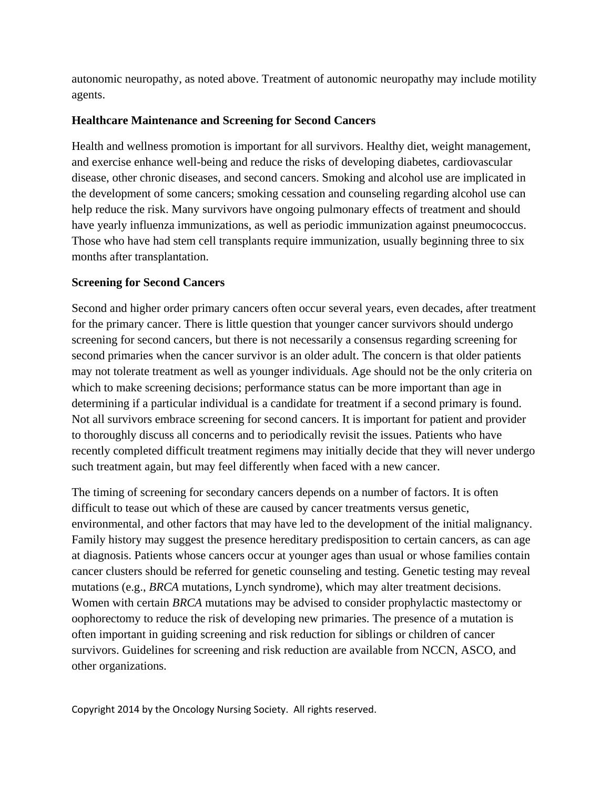autonomic neuropathy, as noted above. Treatment of autonomic neuropathy may include motility agents.

# **Healthcare Maintenance and Screening for Second Cancers**

Health and wellness promotion is important for all survivors. Healthy diet, weight management, and exercise enhance well-being and reduce the risks of developing diabetes, cardiovascular disease, other chronic diseases, and second cancers. Smoking and alcohol use are implicated in the development of some cancers; smoking cessation and counseling regarding alcohol use can help reduce the risk. Many survivors have ongoing pulmonary effects of treatment and should have yearly influenza immunizations, as well as periodic immunization against pneumococcus. Those who have had stem cell transplants require immunization, usually beginning three to six months after transplantation.

# **Screening for Second Cancers**

Second and higher order primary cancers often occur several years, even decades, after treatment for the primary cancer. There is little question that younger cancer survivors should undergo screening for second cancers, but there is not necessarily a consensus regarding screening for second primaries when the cancer survivor is an older adult. The concern is that older patients may not tolerate treatment as well as younger individuals. Age should not be the only criteria on which to make screening decisions; performance status can be more important than age in determining if a particular individual is a candidate for treatment if a second primary is found. Not all survivors embrace screening for second cancers. It is important for patient and provider to thoroughly discuss all concerns and to periodically revisit the issues. Patients who have recently completed difficult treatment regimens may initially decide that they will never undergo such treatment again, but may feel differently when faced with a new cancer.

The timing of screening for secondary cancers depends on a number of factors. It is often difficult to tease out which of these are caused by cancer treatments versus genetic, environmental, and other factors that may have led to the development of the initial malignancy. Family history may suggest the presence hereditary predisposition to certain cancers, as can age at diagnosis. Patients whose cancers occur at younger ages than usual or whose families contain cancer clusters should be referred for genetic counseling and testing. Genetic testing may reveal mutations (e.g., *BRCA* mutations, Lynch syndrome), which may alter treatment decisions. Women with certain *BRCA* mutations may be advised to consider prophylactic mastectomy or oophorectomy to reduce the risk of developing new primaries. The presence of a mutation is often important in guiding screening and risk reduction for siblings or children of cancer survivors. Guidelines for screening and risk reduction are available from NCCN, ASCO, and other organizations.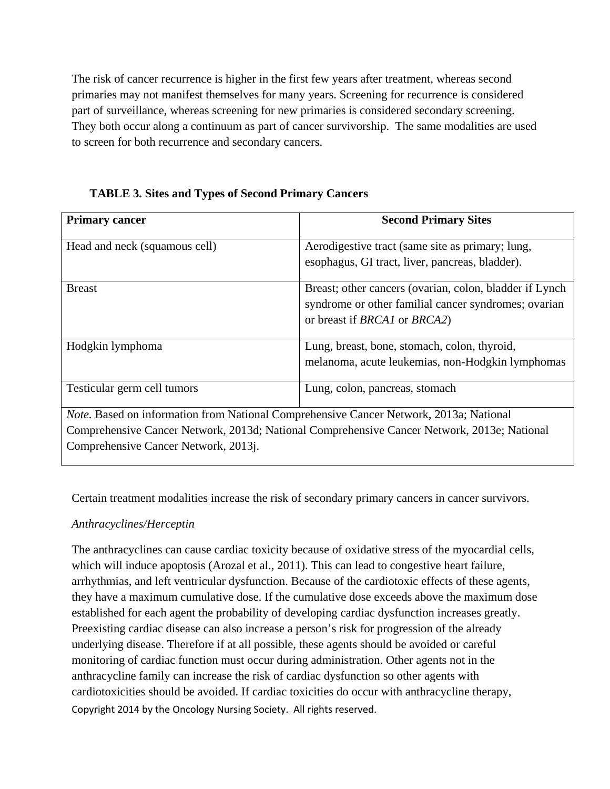The risk of cancer recurrence is higher in the first few years after treatment, whereas second primaries may not manifest themselves for many years. Screening for recurrence is considered part of surveillance, whereas screening for new primaries is considered secondary screening. They both occur along a continuum as part of cancer survivorship. The same modalities are used to screen for both recurrence and secondary cancers.

**TABLE 3. Sites and Types of Second Primary Cancers** 

| <b>Primary cancer</b>                                                                                                                                                                                                                | <b>Second Primary Sites</b>                                                                                                                                    |  |  |
|--------------------------------------------------------------------------------------------------------------------------------------------------------------------------------------------------------------------------------------|----------------------------------------------------------------------------------------------------------------------------------------------------------------|--|--|
| Head and neck (squamous cell)                                                                                                                                                                                                        | Aerodigestive tract (same site as primary; lung,<br>esophagus, GI tract, liver, pancreas, bladder).                                                            |  |  |
| <b>Breast</b>                                                                                                                                                                                                                        | Breast; other cancers (ovarian, colon, bladder if Lynch<br>syndrome or other familial cancer syndromes; ovarian<br>or breast if <i>BRCA1</i> or <i>BRCA2</i> ) |  |  |
| Hodgkin lymphoma                                                                                                                                                                                                                     | Lung, breast, bone, stomach, colon, thyroid,<br>melanoma, acute leukemias, non-Hodgkin lymphomas                                                               |  |  |
| Testicular germ cell tumors                                                                                                                                                                                                          | Lung, colon, pancreas, stomach                                                                                                                                 |  |  |
| <i>Note.</i> Based on information from National Comprehensive Cancer Network, 2013a; National<br>Comprehensive Cancer Network, 2013d; National Comprehensive Cancer Network, 2013e; National<br>Comprehensive Cancer Network, 2013j. |                                                                                                                                                                |  |  |

Certain treatment modalities increase the risk of secondary primary cancers in cancer survivors.

# *Anthracyclines/Herceptin*

Copyright 2014 by the Oncology Nursing Society. All rights reserved. The anthracyclines can cause cardiac toxicity because of oxidative stress of the myocardial cells, which will induce apoptosis (Arozal et al., 2011). This can lead to congestive heart failure, arrhythmias, and left ventricular dysfunction. Because of the cardiotoxic effects of these agents, they have a maximum cumulative dose. If the cumulative dose exceeds above the maximum dose established for each agent the probability of developing cardiac dysfunction increases greatly. Preexisting cardiac disease can also increase a person's risk for progression of the already underlying disease. Therefore if at all possible, these agents should be avoided or careful monitoring of cardiac function must occur during administration. Other agents not in the anthracycline family can increase the risk of cardiac dysfunction so other agents with cardiotoxicities should be avoided. If cardiac toxicities do occur with anthracycline therapy,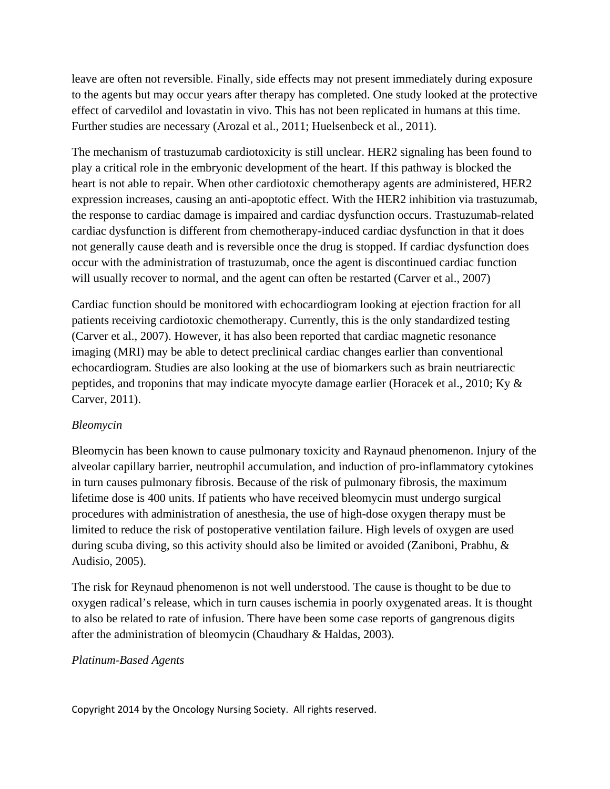leave are often not reversible. Finally, side effects may not present immediately during exposure to the agents but may occur years after therapy has completed. One study looked at the protective effect of carvedilol and lovastatin in vivo. This has not been replicated in humans at this time. Further studies are necessary (Arozal et al., 2011; Huelsenbeck et al., 2011).

The mechanism of trastuzumab cardiotoxicity is still unclear. HER2 signaling has been found to play a critical role in the embryonic development of the heart. If this pathway is blocked the heart is not able to repair. When other cardiotoxic chemotherapy agents are administered, HER2 expression increases, causing an anti-apoptotic effect. With the HER2 inhibition via trastuzumab, the response to cardiac damage is impaired and cardiac dysfunction occurs. Trastuzumab-related cardiac dysfunction is different from chemotherapy-induced cardiac dysfunction in that it does not generally cause death and is reversible once the drug is stopped. If cardiac dysfunction does occur with the administration of trastuzumab, once the agent is discontinued cardiac function will usually recover to normal, and the agent can often be restarted (Carver et al., 2007)

Cardiac function should be monitored with echocardiogram looking at ejection fraction for all patients receiving cardiotoxic chemotherapy. Currently, this is the only standardized testing (Carver et al., 2007). However, it has also been reported that cardiac magnetic resonance imaging (MRI) may be able to detect preclinical cardiac changes earlier than conventional echocardiogram. Studies are also looking at the use of biomarkers such as brain neutriarectic peptides, and troponins that may indicate myocyte damage earlier (Horacek et al., 2010; Ky & Carver, 2011).

# *Bleomycin*

Bleomycin has been known to cause pulmonary toxicity and Raynaud phenomenon. Injury of the alveolar capillary barrier, neutrophil accumulation, and induction of pro-inflammatory cytokines in turn causes pulmonary fibrosis. Because of the risk of pulmonary fibrosis, the maximum lifetime dose is 400 units. If patients who have received bleomycin must undergo surgical procedures with administration of anesthesia, the use of high-dose oxygen therapy must be limited to reduce the risk of postoperative ventilation failure. High levels of oxygen are used during scuba diving, so this activity should also be limited or avoided (Zaniboni, Prabhu, & Audisio, 2005).

The risk for Reynaud phenomenon is not well understood. The cause is thought to be due to oxygen radical's release, which in turn causes ischemia in poorly oxygenated areas. It is thought to also be related to rate of infusion. There have been some case reports of gangrenous digits after the administration of bleomycin (Chaudhary & Haldas, 2003).

### *Platinum-Based Agents*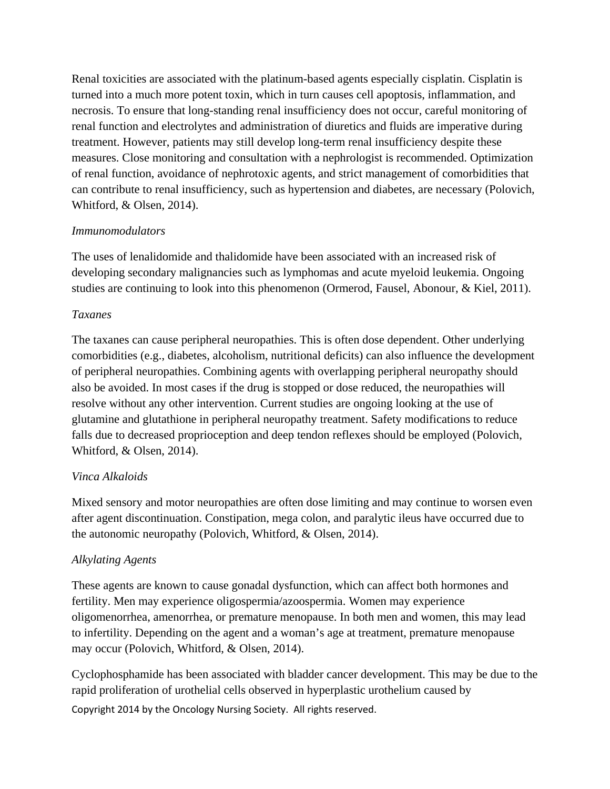Renal toxicities are associated with the platinum-based agents especially cisplatin. Cisplatin is turned into a much more potent toxin, which in turn causes cell apoptosis, inflammation, and necrosis. To ensure that long-standing renal insufficiency does not occur, careful monitoring of renal function and electrolytes and administration of diuretics and fluids are imperative during treatment. However, patients may still develop long-term renal insufficiency despite these measures. Close monitoring and consultation with a nephrologist is recommended. Optimization of renal function, avoidance of nephrotoxic agents, and strict management of comorbidities that can contribute to renal insufficiency, such as hypertension and diabetes, are necessary (Polovich, Whitford, & Olsen, 2014).

# *Immunomodulators*

The uses of lenalidomide and thalidomide have been associated with an increased risk of developing secondary malignancies such as lymphomas and acute myeloid leukemia. Ongoing studies are continuing to look into this phenomenon (Ormerod, Fausel, Abonour, & Kiel, 2011).

# *Taxanes*

The taxanes can cause peripheral neuropathies. This is often dose dependent. Other underlying comorbidities (e.g., diabetes, alcoholism, nutritional deficits) can also influence the development of peripheral neuropathies. Combining agents with overlapping peripheral neuropathy should also be avoided. In most cases if the drug is stopped or dose reduced, the neuropathies will resolve without any other intervention. Current studies are ongoing looking at the use of glutamine and glutathione in peripheral neuropathy treatment. Safety modifications to reduce falls due to decreased proprioception and deep tendon reflexes should be employed (Polovich, Whitford, & Olsen, 2014).

# *Vinca Alkaloids*

Mixed sensory and motor neuropathies are often dose limiting and may continue to worsen even after agent discontinuation. Constipation, mega colon, and paralytic ileus have occurred due to the autonomic neuropathy (Polovich, Whitford, & Olsen, 2014).

# *Alkylating Agents*

These agents are known to cause gonadal dysfunction, which can affect both hormones and fertility. Men may experience oligospermia/azoospermia. Women may experience oligomenorrhea, amenorrhea, or premature menopause. In both men and women, this may lead to infertility. Depending on the agent and a woman's age at treatment, premature menopause may occur (Polovich, Whitford, & Olsen, 2014).

Copyright 2014 by the Oncology Nursing Society. All rights reserved. Cyclophosphamide has been associated with bladder cancer development. This may be due to the rapid proliferation of urothelial cells observed in hyperplastic urothelium caused by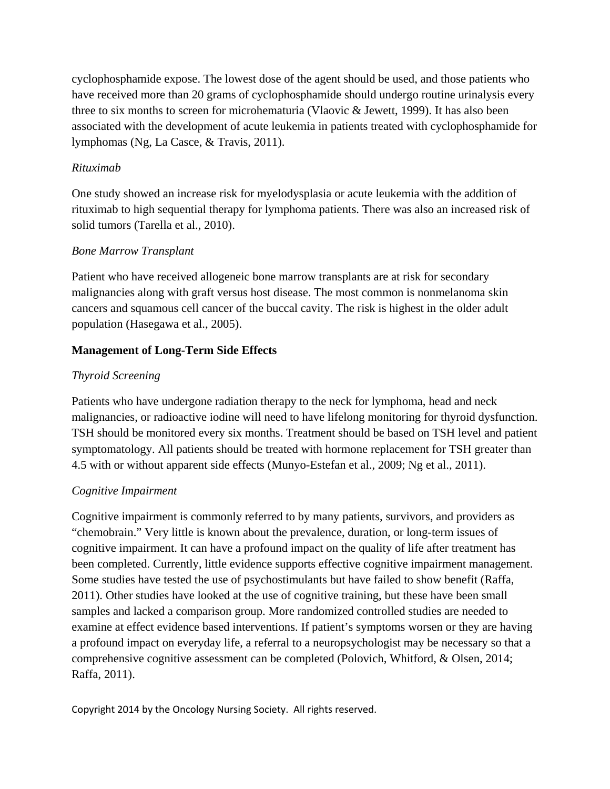cyclophosphamide expose. The lowest dose of the agent should be used, and those patients who have received more than 20 grams of cyclophosphamide should undergo routine urinalysis every three to six months to screen for microhematuria (Vlaovic & Jewett, 1999). It has also been associated with the development of acute leukemia in patients treated with cyclophosphamide for lymphomas (Ng, La Casce, & Travis, 2011).

### *Rituximab*

One study showed an increase risk for myelodysplasia or acute leukemia with the addition of rituximab to high sequential therapy for lymphoma patients. There was also an increased risk of solid tumors (Tarella et al., 2010).

### *Bone Marrow Transplant*

Patient who have received allogeneic bone marrow transplants are at risk for secondary malignancies along with graft versus host disease. The most common is nonmelanoma skin cancers and squamous cell cancer of the buccal cavity. The risk is highest in the older adult population (Hasegawa et al., 2005).

### **Management of Long-Term Side Effects**

# *Thyroid Screening*

Patients who have undergone radiation therapy to the neck for lymphoma, head and neck malignancies, or radioactive iodine will need to have lifelong monitoring for thyroid dysfunction. TSH should be monitored every six months. Treatment should be based on TSH level and patient symptomatology. All patients should be treated with hormone replacement for TSH greater than 4.5 with or without apparent side effects (Munyo-Estefan et al., 2009; Ng et al., 2011).

# *Cognitive Impairment*

Cognitive impairment is commonly referred to by many patients, survivors, and providers as "chemobrain." Very little is known about the prevalence, duration, or long-term issues of cognitive impairment. It can have a profound impact on the quality of life after treatment has been completed. Currently, little evidence supports effective cognitive impairment management. Some studies have tested the use of psychostimulants but have failed to show benefit (Raffa, 2011). Other studies have looked at the use of cognitive training, but these have been small samples and lacked a comparison group. More randomized controlled studies are needed to examine at effect evidence based interventions. If patient's symptoms worsen or they are having a profound impact on everyday life, a referral to a neuropsychologist may be necessary so that a comprehensive cognitive assessment can be completed (Polovich, Whitford, & Olsen, 2014; Raffa, 2011).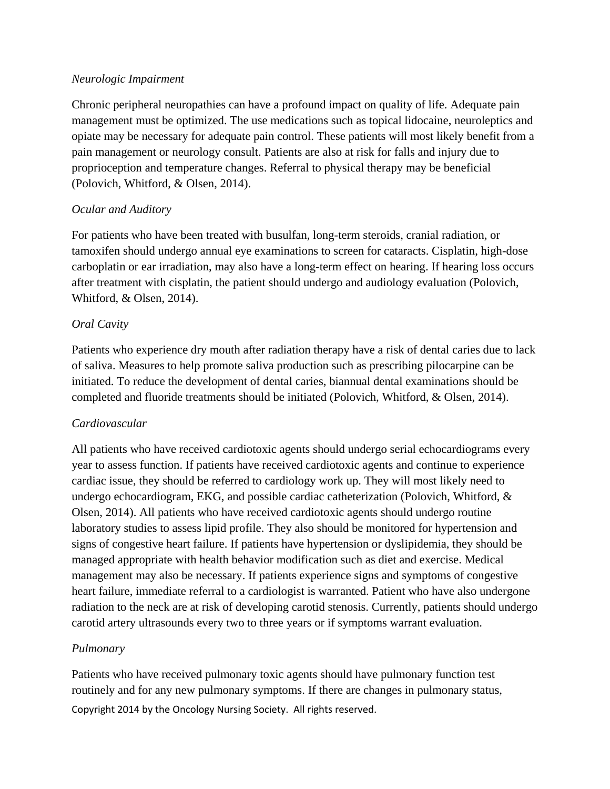### *Neurologic Impairment*

Chronic peripheral neuropathies can have a profound impact on quality of life. Adequate pain management must be optimized. The use medications such as topical lidocaine, neuroleptics and opiate may be necessary for adequate pain control. These patients will most likely benefit from a pain management or neurology consult. Patients are also at risk for falls and injury due to proprioception and temperature changes. Referral to physical therapy may be beneficial (Polovich, Whitford, & Olsen, 2014).

# *Ocular and Auditory*

For patients who have been treated with busulfan, long-term steroids, cranial radiation, or tamoxifen should undergo annual eye examinations to screen for cataracts. Cisplatin, high-dose carboplatin or ear irradiation, may also have a long-term effect on hearing. If hearing loss occurs after treatment with cisplatin, the patient should undergo and audiology evaluation (Polovich, Whitford, & Olsen, 2014).

# *Oral Cavity*

Patients who experience dry mouth after radiation therapy have a risk of dental caries due to lack of saliva. Measures to help promote saliva production such as prescribing pilocarpine can be initiated. To reduce the development of dental caries, biannual dental examinations should be completed and fluoride treatments should be initiated (Polovich, Whitford, & Olsen, 2014).

# *Cardiovascular*

All patients who have received cardiotoxic agents should undergo serial echocardiograms every year to assess function. If patients have received cardiotoxic agents and continue to experience cardiac issue, they should be referred to cardiology work up. They will most likely need to undergo echocardiogram, EKG, and possible cardiac catheterization (Polovich, Whitford, & Olsen, 2014). All patients who have received cardiotoxic agents should undergo routine laboratory studies to assess lipid profile. They also should be monitored for hypertension and signs of congestive heart failure. If patients have hypertension or dyslipidemia, they should be managed appropriate with health behavior modification such as diet and exercise. Medical management may also be necessary. If patients experience signs and symptoms of congestive heart failure, immediate referral to a cardiologist is warranted. Patient who have also undergone radiation to the neck are at risk of developing carotid stenosis. Currently, patients should undergo carotid artery ultrasounds every two to three years or if symptoms warrant evaluation.

# *Pulmonary*

Copyright 2014 by the Oncology Nursing Society. All rights reserved. Patients who have received pulmonary toxic agents should have pulmonary function test routinely and for any new pulmonary symptoms. If there are changes in pulmonary status,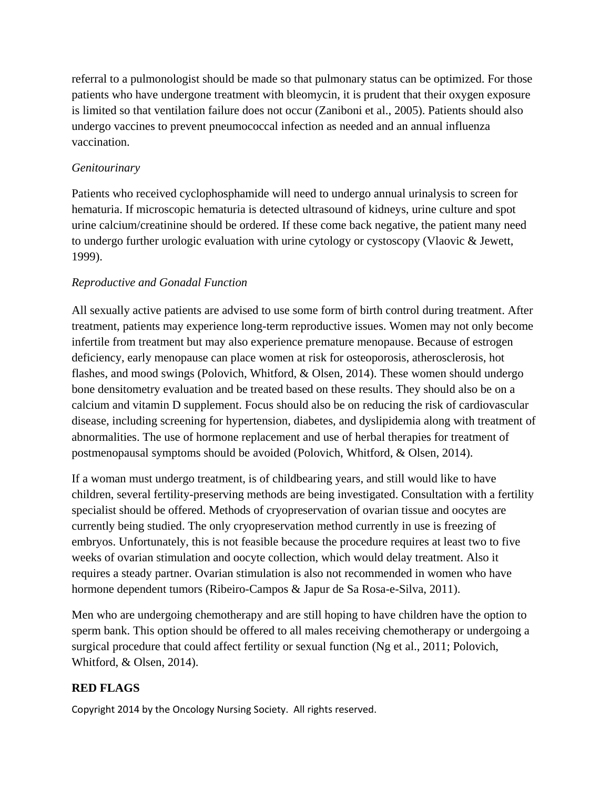referral to a pulmonologist should be made so that pulmonary status can be optimized. For those patients who have undergone treatment with bleomycin, it is prudent that their oxygen exposure is limited so that ventilation failure does not occur (Zaniboni et al., 2005). Patients should also undergo vaccines to prevent pneumococcal infection as needed and an annual influenza vaccination.

# *Genitourinary*

Patients who received cyclophosphamide will need to undergo annual urinalysis to screen for hematuria. If microscopic hematuria is detected ultrasound of kidneys, urine culture and spot urine calcium/creatinine should be ordered. If these come back negative, the patient many need to undergo further urologic evaluation with urine cytology or cystoscopy (Vlaovic & Jewett, 1999).

# *Reproductive and Gonadal Function*

All sexually active patients are advised to use some form of birth control during treatment. After treatment, patients may experience long-term reproductive issues. Women may not only become infertile from treatment but may also experience premature menopause. Because of estrogen deficiency, early menopause can place women at risk for osteoporosis, atherosclerosis, hot flashes, and mood swings (Polovich, Whitford, & Olsen, 2014). These women should undergo bone densitometry evaluation and be treated based on these results. They should also be on a calcium and vitamin D supplement. Focus should also be on reducing the risk of cardiovascular disease, including screening for hypertension, diabetes, and dyslipidemia along with treatment of abnormalities. The use of hormone replacement and use of herbal therapies for treatment of postmenopausal symptoms should be avoided (Polovich, Whitford, & Olsen, 2014).

If a woman must undergo treatment, is of childbearing years, and still would like to have children, several fertility-preserving methods are being investigated. Consultation with a fertility specialist should be offered. Methods of cryopreservation of ovarian tissue and oocytes are currently being studied. The only cryopreservation method currently in use is freezing of embryos. Unfortunately, this is not feasible because the procedure requires at least two to five weeks of ovarian stimulation and oocyte collection, which would delay treatment. Also it requires a steady partner. Ovarian stimulation is also not recommended in women who have hormone dependent tumors (Ribeiro-Campos & Japur de Sa Rosa-e-Silva, 2011).

Men who are undergoing chemotherapy and are still hoping to have children have the option to sperm bank. This option should be offered to all males receiving chemotherapy or undergoing a surgical procedure that could affect fertility or sexual function (Ng et al., 2011; Polovich, Whitford, & Olsen, 2014).

# **RED FLAGS**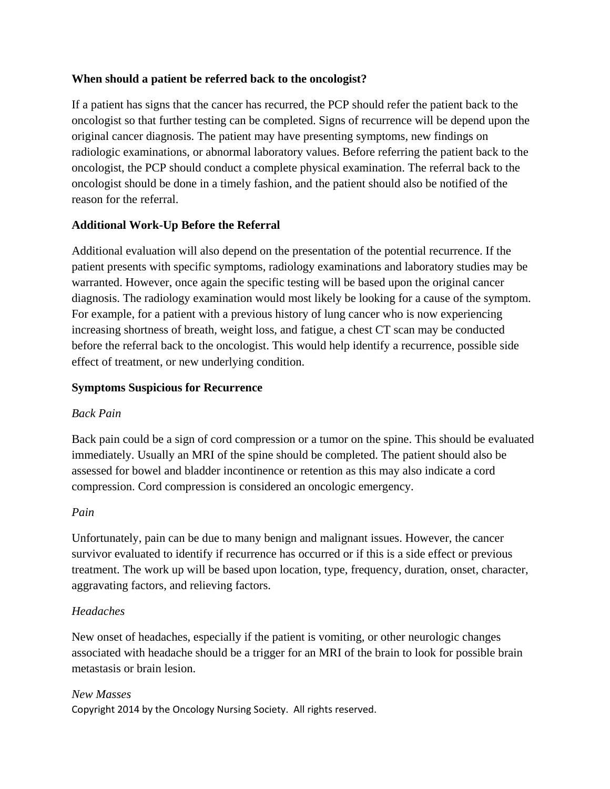# **When should a patient be referred back to the oncologist?**

If a patient has signs that the cancer has recurred, the PCP should refer the patient back to the oncologist so that further testing can be completed. Signs of recurrence will be depend upon the original cancer diagnosis. The patient may have presenting symptoms, new findings on radiologic examinations, or abnormal laboratory values. Before referring the patient back to the oncologist, the PCP should conduct a complete physical examination. The referral back to the oncologist should be done in a timely fashion, and the patient should also be notified of the reason for the referral.

# **Additional Work-Up Before the Referral**

Additional evaluation will also depend on the presentation of the potential recurrence. If the patient presents with specific symptoms, radiology examinations and laboratory studies may be warranted. However, once again the specific testing will be based upon the original cancer diagnosis. The radiology examination would most likely be looking for a cause of the symptom. For example, for a patient with a previous history of lung cancer who is now experiencing increasing shortness of breath, weight loss, and fatigue, a chest CT scan may be conducted before the referral back to the oncologist. This would help identify a recurrence, possible side effect of treatment, or new underlying condition.

# **Symptoms Suspicious for Recurrence**

# *Back Pain*

Back pain could be a sign of cord compression or a tumor on the spine. This should be evaluated immediately. Usually an MRI of the spine should be completed. The patient should also be assessed for bowel and bladder incontinence or retention as this may also indicate a cord compression. Cord compression is considered an oncologic emergency.

# *Pain*

Unfortunately, pain can be due to many benign and malignant issues. However, the cancer survivor evaluated to identify if recurrence has occurred or if this is a side effect or previous treatment. The work up will be based upon location, type, frequency, duration, onset, character, aggravating factors, and relieving factors.

# *Headaches*

New onset of headaches, especially if the patient is vomiting, or other neurologic changes associated with headache should be a trigger for an MRI of the brain to look for possible brain metastasis or brain lesion.

# *New Masses*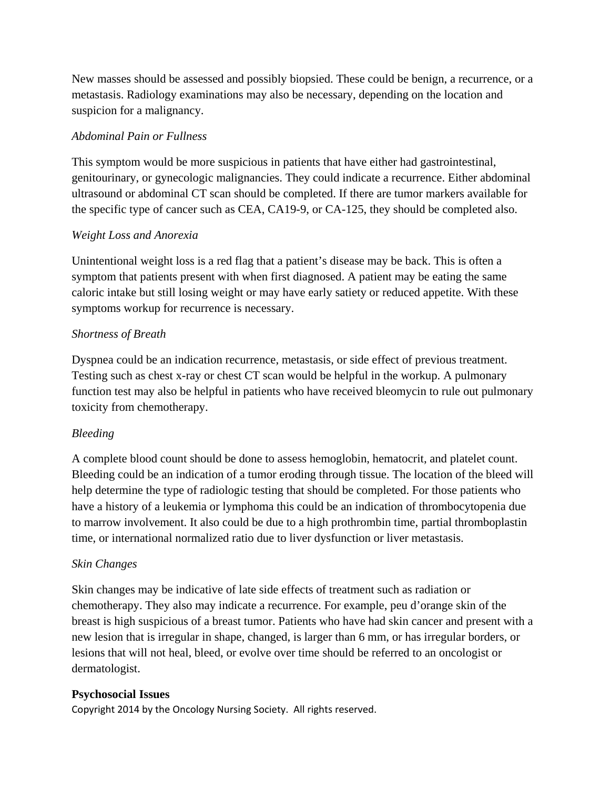New masses should be assessed and possibly biopsied. These could be benign, a recurrence, or a metastasis. Radiology examinations may also be necessary, depending on the location and suspicion for a malignancy.

# *Abdominal Pain or Fullness*

This symptom would be more suspicious in patients that have either had gastrointestinal, genitourinary, or gynecologic malignancies. They could indicate a recurrence. Either abdominal ultrasound or abdominal CT scan should be completed. If there are tumor markers available for the specific type of cancer such as CEA, CA19-9, or CA-125, they should be completed also.

# *Weight Loss and Anorexia*

Unintentional weight loss is a red flag that a patient's disease may be back. This is often a symptom that patients present with when first diagnosed. A patient may be eating the same caloric intake but still losing weight or may have early satiety or reduced appetite. With these symptoms workup for recurrence is necessary.

# *Shortness of Breath*

Dyspnea could be an indication recurrence, metastasis, or side effect of previous treatment. Testing such as chest x-ray or chest CT scan would be helpful in the workup. A pulmonary function test may also be helpful in patients who have received bleomycin to rule out pulmonary toxicity from chemotherapy.

# *Bleeding*

A complete blood count should be done to assess hemoglobin, hematocrit, and platelet count. Bleeding could be an indication of a tumor eroding through tissue. The location of the bleed will help determine the type of radiologic testing that should be completed. For those patients who have a history of a leukemia or lymphoma this could be an indication of thrombocytopenia due to marrow involvement. It also could be due to a high prothrombin time, partial thromboplastin time, or international normalized ratio due to liver dysfunction or liver metastasis.

# *Skin Changes*

Skin changes may be indicative of late side effects of treatment such as radiation or chemotherapy. They also may indicate a recurrence. For example, peu d'orange skin of the breast is high suspicious of a breast tumor. Patients who have had skin cancer and present with a new lesion that is irregular in shape, changed, is larger than 6 mm, or has irregular borders, or lesions that will not heal, bleed, or evolve over time should be referred to an oncologist or dermatologist.

# **Psychosocial Issues**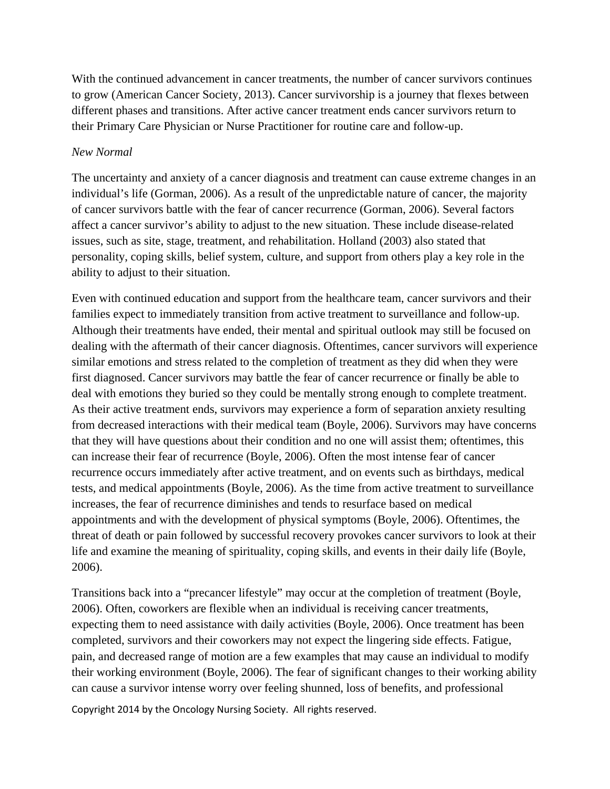With the continued advancement in cancer treatments, the number of cancer survivors continues to grow (American Cancer Society, 2013). Cancer survivorship is a journey that flexes between different phases and transitions. After active cancer treatment ends cancer survivors return to their Primary Care Physician or Nurse Practitioner for routine care and follow-up.

### *New Normal*

The uncertainty and anxiety of a cancer diagnosis and treatment can cause extreme changes in an individual's life (Gorman, 2006). As a result of the unpredictable nature of cancer, the majority of cancer survivors battle with the fear of cancer recurrence (Gorman, 2006). Several factors affect a cancer survivor's ability to adjust to the new situation. These include disease-related issues, such as site, stage, treatment, and rehabilitation. Holland (2003) also stated that personality, coping skills, belief system, culture, and support from others play a key role in the ability to adjust to their situation.

Even with continued education and support from the healthcare team, cancer survivors and their families expect to immediately transition from active treatment to surveillance and follow-up. Although their treatments have ended, their mental and spiritual outlook may still be focused on dealing with the aftermath of their cancer diagnosis. Oftentimes, cancer survivors will experience similar emotions and stress related to the completion of treatment as they did when they were first diagnosed. Cancer survivors may battle the fear of cancer recurrence or finally be able to deal with emotions they buried so they could be mentally strong enough to complete treatment. As their active treatment ends, survivors may experience a form of separation anxiety resulting from decreased interactions with their medical team (Boyle, 2006). Survivors may have concerns that they will have questions about their condition and no one will assist them; oftentimes, this can increase their fear of recurrence (Boyle, 2006). Often the most intense fear of cancer recurrence occurs immediately after active treatment, and on events such as birthdays, medical tests, and medical appointments (Boyle, 2006). As the time from active treatment to surveillance increases, the fear of recurrence diminishes and tends to resurface based on medical appointments and with the development of physical symptoms (Boyle, 2006). Oftentimes, the threat of death or pain followed by successful recovery provokes cancer survivors to look at their life and examine the meaning of spirituality, coping skills, and events in their daily life (Boyle, 2006).

Transitions back into a "precancer lifestyle" may occur at the completion of treatment (Boyle, 2006). Often, coworkers are flexible when an individual is receiving cancer treatments, expecting them to need assistance with daily activities (Boyle, 2006). Once treatment has been completed, survivors and their coworkers may not expect the lingering side effects. Fatigue, pain, and decreased range of motion are a few examples that may cause an individual to modify their working environment (Boyle, 2006). The fear of significant changes to their working ability can cause a survivor intense worry over feeling shunned, loss of benefits, and professional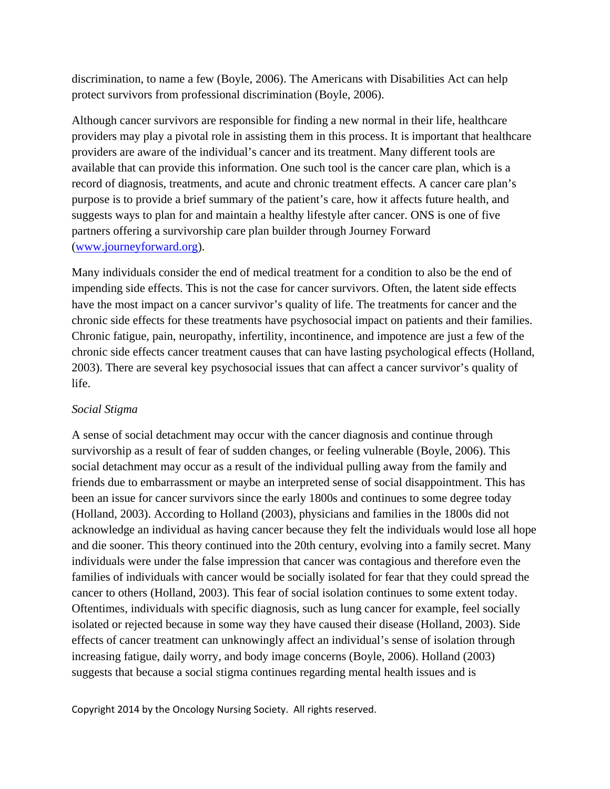discrimination, to name a few (Boyle, 2006). The Americans with Disabilities Act can help protect survivors from professional discrimination (Boyle, 2006).

Although cancer survivors are responsible for finding a new normal in their life, healthcare providers may play a pivotal role in assisting them in this process. It is important that healthcare providers are aware of the individual's cancer and its treatment. Many different tools are available that can provide this information. One such tool is the cancer care plan, which is a record of diagnosis, treatments, and acute and chronic treatment effects. A cancer care plan's purpose is to provide a brief summary of the patient's care, how it affects future health, and suggests ways to plan for and maintain a healthy lifestyle after cancer. ONS is one of five partners offering a survivorship care plan builder through Journey Forward [\(www.journeyforward.org\)](http://www.journeyforward.org/).

Many individuals consider the end of medical treatment for a condition to also be the end of impending side effects. This is not the case for cancer survivors. Often, the latent side effects have the most impact on a cancer survivor's quality of life. The treatments for cancer and the chronic side effects for these treatments have psychosocial impact on patients and their families. Chronic fatigue, pain, neuropathy, infertility, incontinence, and impotence are just a few of the chronic side effects cancer treatment causes that can have lasting psychological effects (Holland, 2003). There are several key psychosocial issues that can affect a cancer survivor's quality of life.

### *Social Stigma*

A sense of social detachment may occur with the cancer diagnosis and continue through survivorship as a result of fear of sudden changes, or feeling vulnerable (Boyle, 2006). This social detachment may occur as a result of the individual pulling away from the family and friends due to embarrassment or maybe an interpreted sense of social disappointment. This has been an issue for cancer survivors since the early 1800s and continues to some degree today (Holland, 2003). According to Holland (2003), physicians and families in the 1800s did not acknowledge an individual as having cancer because they felt the individuals would lose all hope and die sooner. This theory continued into the 20th century, evolving into a family secret. Many individuals were under the false impression that cancer was contagious and therefore even the families of individuals with cancer would be socially isolated for fear that they could spread the cancer to others (Holland, 2003). This fear of social isolation continues to some extent today. Oftentimes, individuals with specific diagnosis, such as lung cancer for example, feel socially isolated or rejected because in some way they have caused their disease (Holland, 2003). Side effects of cancer treatment can unknowingly affect an individual's sense of isolation through increasing fatigue, daily worry, and body image concerns (Boyle, 2006). Holland (2003) suggests that because a social stigma continues regarding mental health issues and is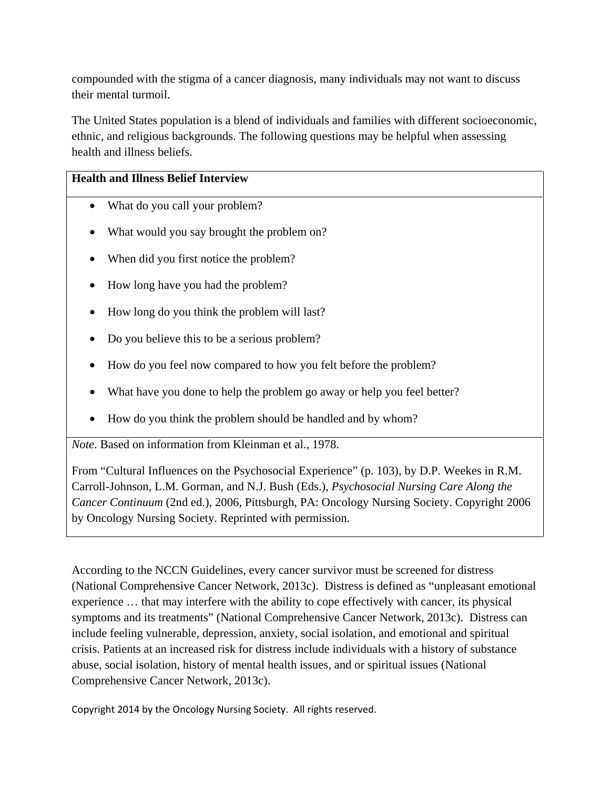compounded with the stigma of a cancer diagnosis, many individuals may not want to discuss their mental turmoil.

The United States population is a blend of individuals and families with different socioeconomic, ethnic, and religious backgrounds. The following questions may be helpful when assessing health and illness beliefs.

# **Health and Illness Belief Interview**

- What do you call your problem?
- What would you say brought the problem on?
- When did you first notice the problem?
- How long have you had the problem?
- How long do you think the problem will last?
- Do you believe this to be a serious problem?
- How do you feel now compared to how you felt before the problem?
- What have you done to help the problem go away or help you feel better?
- How do you think the problem should be handled and by whom?

*Note.* Based on information from Kleinman et al., 1978.

From "Cultural Influences on the Psychosocial Experience" (p. 103), by D.P. Weekes in R.M. Carroll-Johnson, L.M. Gorman, and N.J. Bush (Eds.), *Psychosocial Nursing Care Along the Cancer Continuum* (2nd ed.), 2006, Pittsburgh, PA: Oncology Nursing Society. Copyright 2006 by Oncology Nursing Society. Reprinted with permission.

According to the NCCN Guidelines, every cancer survivor must be screened for distress (National Comprehensive Cancer Network, 2013c). Distress is defined as "unpleasant emotional experience … that may interfere with the ability to cope effectively with cancer, its physical symptoms and its treatments" (National Comprehensive Cancer Network, 2013c). Distress can include feeling vulnerable, depression, anxiety, social isolation, and emotional and spiritual crisis. Patients at an increased risk for distress include individuals with a history of substance abuse, social isolation, history of mental health issues, and or spiritual issues (National Comprehensive Cancer Network, 2013c).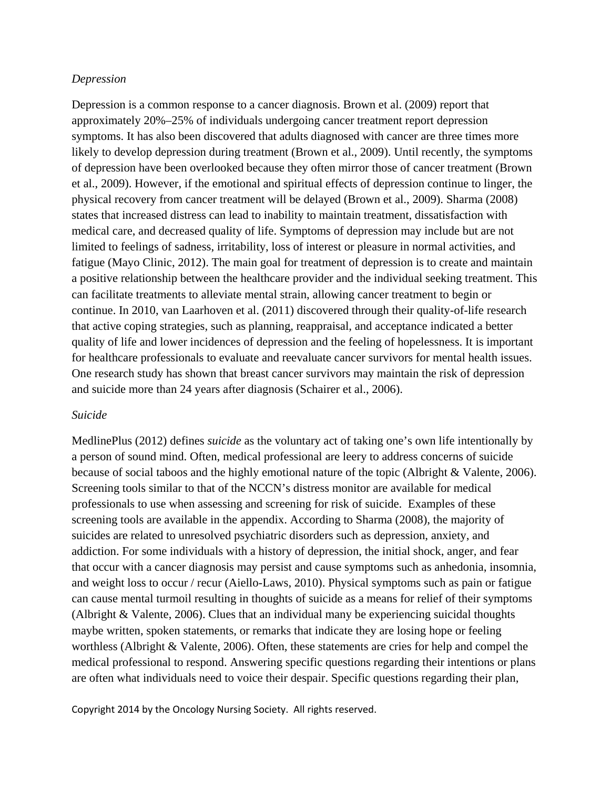#### *Depression*

Depression is a common response to a cancer diagnosis. Brown et al. (2009) report that approximately 20%–25% of individuals undergoing cancer treatment report depression symptoms. It has also been discovered that adults diagnosed with cancer are three times more likely to develop depression during treatment (Brown et al., 2009). Until recently, the symptoms of depression have been overlooked because they often mirror those of cancer treatment (Brown et al., 2009). However, if the emotional and spiritual effects of depression continue to linger, the physical recovery from cancer treatment will be delayed (Brown et al., 2009). Sharma (2008) states that increased distress can lead to inability to maintain treatment, dissatisfaction with medical care, and decreased quality of life. Symptoms of depression may include but are not limited to feelings of sadness, irritability, loss of interest or pleasure in normal activities, and fatigue (Mayo Clinic, 2012). The main goal for treatment of depression is to create and maintain a positive relationship between the healthcare provider and the individual seeking treatment. This can facilitate treatments to alleviate mental strain, allowing cancer treatment to begin or continue. In 2010, van Laarhoven et al. (2011) discovered through their quality-of-life research that active coping strategies, such as planning, reappraisal, and acceptance indicated a better quality of life and lower incidences of depression and the feeling of hopelessness. It is important for healthcare professionals to evaluate and reevaluate cancer survivors for mental health issues. One research study has shown that breast cancer survivors may maintain the risk of depression and suicide more than 24 years after diagnosis (Schairer et al., 2006).

#### *Suicide*

MedlinePlus (2012) defines *suicide* as the voluntary act of taking one's own life intentionally by a person of sound mind. Often, medical professional are leery to address concerns of suicide because of social taboos and the highly emotional nature of the topic (Albright & Valente, 2006). Screening tools similar to that of the NCCN's distress monitor are available for medical professionals to use when assessing and screening for risk of suicide. Examples of these screening tools are available in the appendix. According to Sharma (2008), the majority of suicides are related to unresolved psychiatric disorders such as depression, anxiety, and addiction. For some individuals with a history of depression, the initial shock, anger, and fear that occur with a cancer diagnosis may persist and cause symptoms such as anhedonia, insomnia, and weight loss to occur / recur (Aiello-Laws, 2010). Physical symptoms such as pain or fatigue can cause mental turmoil resulting in thoughts of suicide as a means for relief of their symptoms (Albright & Valente, 2006). Clues that an individual many be experiencing suicidal thoughts maybe written, spoken statements, or remarks that indicate they are losing hope or feeling worthless (Albright & Valente, 2006). Often, these statements are cries for help and compel the medical professional to respond. Answering specific questions regarding their intentions or plans are often what individuals need to voice their despair. Specific questions regarding their plan,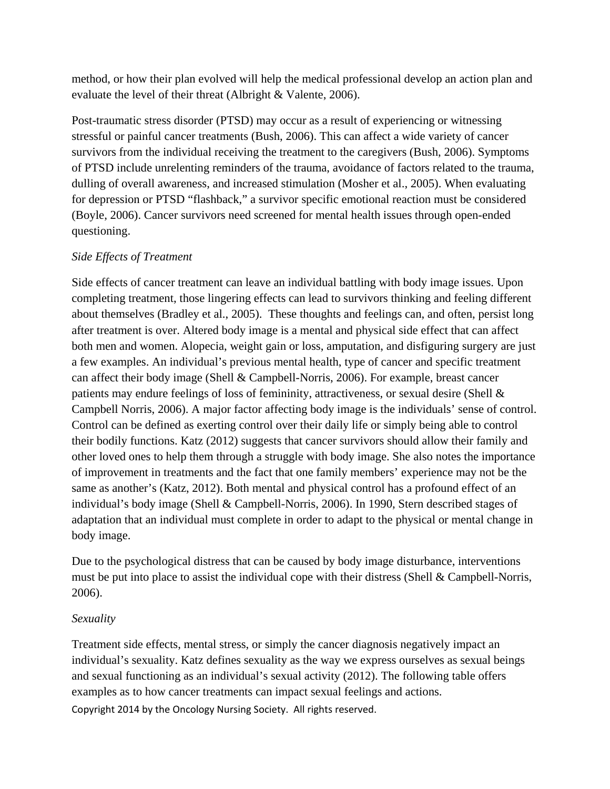method, or how their plan evolved will help the medical professional develop an action plan and evaluate the level of their threat (Albright & Valente, 2006).

Post-traumatic stress disorder (PTSD) may occur as a result of experiencing or witnessing stressful or painful cancer treatments (Bush, 2006). This can affect a wide variety of cancer survivors from the individual receiving the treatment to the caregivers (Bush, 2006). Symptoms of PTSD include unrelenting reminders of the trauma, avoidance of factors related to the trauma, dulling of overall awareness, and increased stimulation (Mosher et al., 2005). When evaluating for depression or PTSD "flashback," a survivor specific emotional reaction must be considered (Boyle, 2006). Cancer survivors need screened for mental health issues through open-ended questioning.

# *Side Effects of Treatment*

Side effects of cancer treatment can leave an individual battling with body image issues. Upon completing treatment, those lingering effects can lead to survivors thinking and feeling different about themselves (Bradley et al., 2005). These thoughts and feelings can, and often, persist long after treatment is over. Altered body image is a mental and physical side effect that can affect both men and women. Alopecia, weight gain or loss, amputation, and disfiguring surgery are just a few examples. An individual's previous mental health, type of cancer and specific treatment can affect their body image (Shell & Campbell-Norris, 2006). For example, breast cancer patients may endure feelings of loss of femininity, attractiveness, or sexual desire (Shell & Campbell Norris, 2006). A major factor affecting body image is the individuals' sense of control. Control can be defined as exerting control over their daily life or simply being able to control their bodily functions. Katz (2012) suggests that cancer survivors should allow their family and other loved ones to help them through a struggle with body image. She also notes the importance of improvement in treatments and the fact that one family members' experience may not be the same as another's (Katz, 2012). Both mental and physical control has a profound effect of an individual's body image (Shell & Campbell-Norris, 2006). In 1990, Stern described stages of adaptation that an individual must complete in order to adapt to the physical or mental change in body image.

Due to the psychological distress that can be caused by body image disturbance, interventions must be put into place to assist the individual cope with their distress (Shell & Campbell-Norris, 2006).

# *Sexuality*

Copyright 2014 by the Oncology Nursing Society. All rights reserved. Treatment side effects, mental stress, or simply the cancer diagnosis negatively impact an individual's sexuality. Katz defines sexuality as the way we express ourselves as sexual beings and sexual functioning as an individual's sexual activity (2012). The following table offers examples as to how cancer treatments can impact sexual feelings and actions.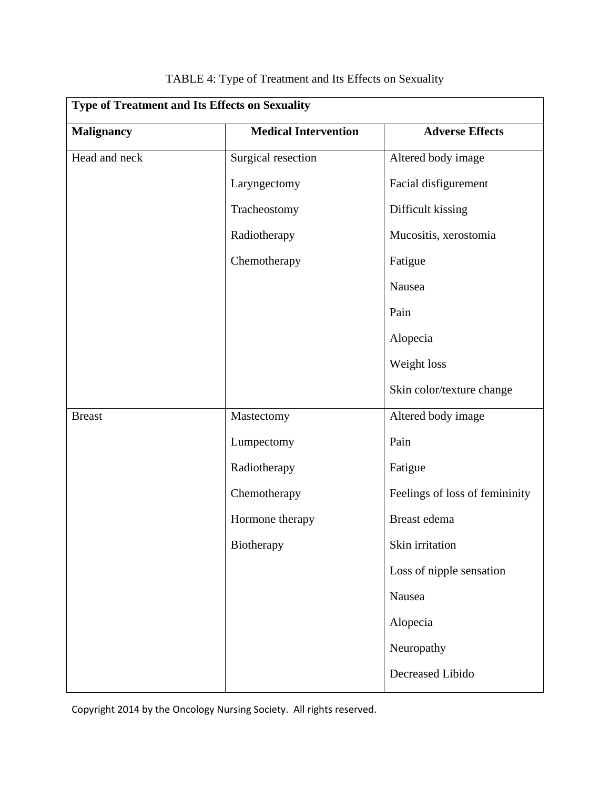| <b>Type of Treatment and Its Effects on Sexuality</b> |                             |                                |  |  |
|-------------------------------------------------------|-----------------------------|--------------------------------|--|--|
| <b>Malignancy</b>                                     | <b>Medical Intervention</b> | <b>Adverse Effects</b>         |  |  |
| Head and neck                                         | Surgical resection          | Altered body image             |  |  |
|                                                       | Laryngectomy                | Facial disfigurement           |  |  |
|                                                       | Tracheostomy                | Difficult kissing              |  |  |
|                                                       | Radiotherapy                | Mucositis, xerostomia          |  |  |
|                                                       | Chemotherapy                | Fatigue                        |  |  |
|                                                       |                             | Nausea                         |  |  |
|                                                       |                             | Pain                           |  |  |
|                                                       |                             | Alopecia                       |  |  |
|                                                       |                             | Weight loss                    |  |  |
|                                                       |                             | Skin color/texture change      |  |  |
| <b>Breast</b>                                         | Mastectomy                  | Altered body image             |  |  |
|                                                       | Lumpectomy                  | Pain                           |  |  |
|                                                       | Radiotherapy                | Fatigue                        |  |  |
|                                                       | Chemotherapy                | Feelings of loss of femininity |  |  |
|                                                       | Hormone therapy             | Breast edema                   |  |  |
|                                                       | Biotherapy                  | Skin irritation                |  |  |
|                                                       |                             | Loss of nipple sensation       |  |  |
|                                                       |                             | Nausea                         |  |  |
|                                                       |                             | Alopecia                       |  |  |
|                                                       |                             | Neuropathy                     |  |  |
|                                                       |                             | Decreased Libido               |  |  |

# TABLE 4: Type of Treatment and Its Effects on Sexuality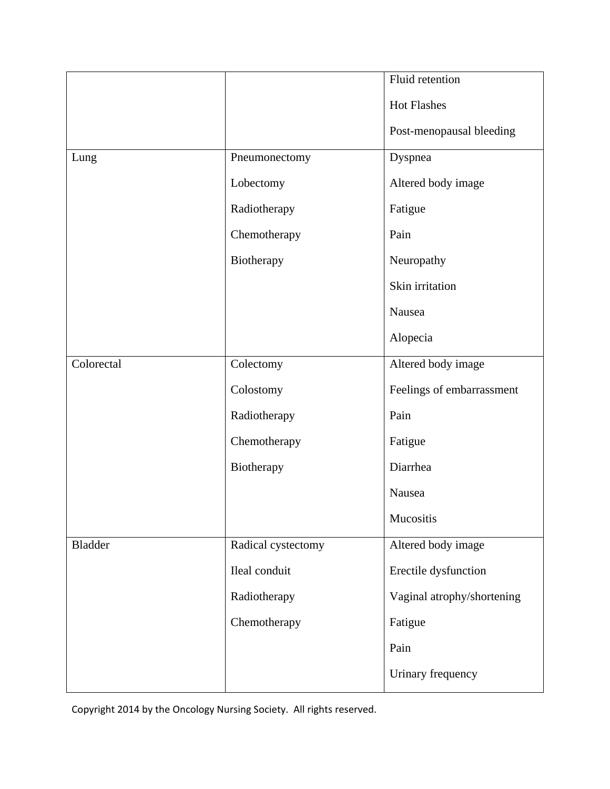|            |                    | Fluid retention            |
|------------|--------------------|----------------------------|
|            |                    | <b>Hot Flashes</b>         |
|            |                    | Post-menopausal bleeding   |
| Lung       | Pneumonectomy      | Dyspnea                    |
|            | Lobectomy          | Altered body image         |
|            | Radiotherapy       | Fatigue                    |
|            | Chemotherapy       | Pain                       |
|            | Biotherapy         | Neuropathy                 |
|            |                    | Skin irritation            |
|            |                    | Nausea                     |
|            |                    | Alopecia                   |
| Colorectal | Colectomy          | Altered body image         |
|            | Colostomy          | Feelings of embarrassment  |
|            | Radiotherapy       | Pain                       |
|            | Chemotherapy       | Fatigue                    |
|            | Biotherapy         | Diarrhea                   |
|            |                    | Nausea                     |
|            |                    | Mucositis                  |
| Bladder    | Radical cystectomy | Altered body image         |
|            | Ileal conduit      | Erectile dysfunction       |
|            | Radiotherapy       | Vaginal atrophy/shortening |
|            | Chemotherapy       | Fatigue                    |
|            |                    | Pain                       |
|            |                    | Urinary frequency          |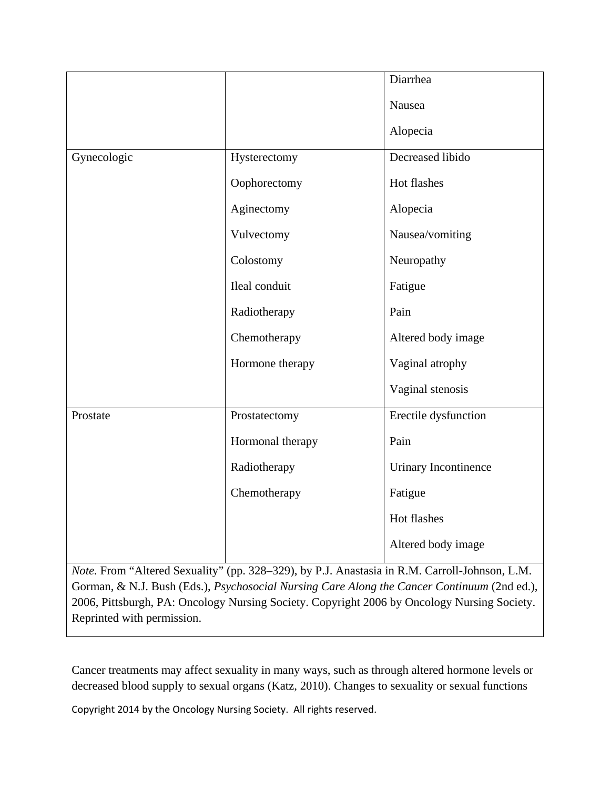|             |                  | Diarrhea             |
|-------------|------------------|----------------------|
|             |                  | Nausea               |
|             |                  | Alopecia             |
| Gynecologic | Hysterectomy     | Decreased libido     |
|             | Oophorectomy     | Hot flashes          |
|             | Aginectomy       | Alopecia             |
|             | Vulvectomy       | Nausea/vomiting      |
|             | Colostomy        | Neuropathy           |
|             | Ileal conduit    | Fatigue              |
|             | Radiotherapy     | Pain                 |
|             | Chemotherapy     | Altered body image   |
|             | Hormone therapy  | Vaginal atrophy      |
|             |                  | Vaginal stenosis     |
| Prostate    | Prostatectomy    | Erectile dysfunction |
|             | Hormonal therapy | Pain                 |
|             | Radiotherapy     | Urinary Incontinence |
|             | Chemotherapy     | Fatigue              |
|             |                  | Hot flashes          |
|             |                  | Altered body image   |

*Note.* From "Altered Sexuality" (pp. 328–329), by P.J. Anastasia in R.M. Carroll-Johnson, L.M. Gorman, & N.J. Bush (Eds.), *Psychosocial Nursing Care Along the Cancer Continuum* (2nd ed.), 2006, Pittsburgh, PA: Oncology Nursing Society. Copyright 2006 by Oncology Nursing Society. Reprinted with permission.

Cancer treatments may affect sexuality in many ways, such as through altered hormone levels or decreased blood supply to sexual organs (Katz, 2010). Changes to sexuality or sexual functions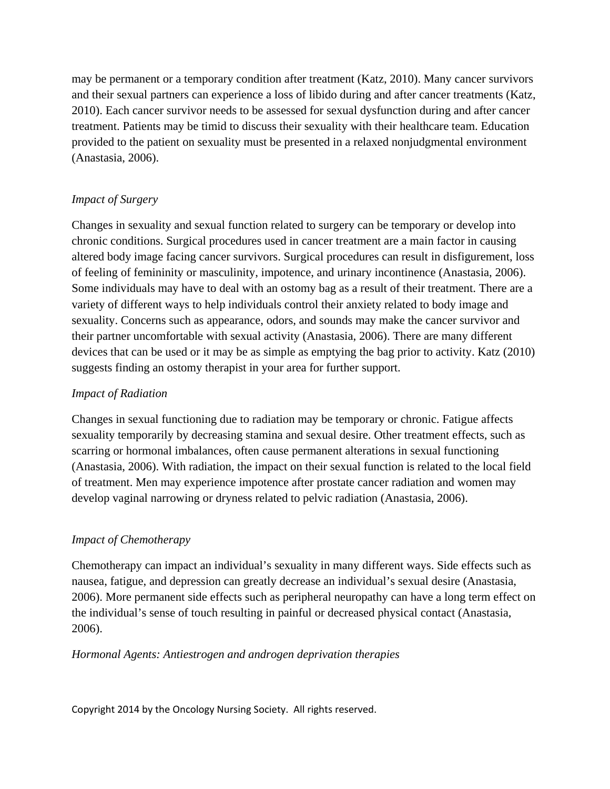may be permanent or a temporary condition after treatment (Katz, 2010). Many cancer survivors and their sexual partners can experience a loss of libido during and after cancer treatments (Katz, 2010). Each cancer survivor needs to be assessed for sexual dysfunction during and after cancer treatment. Patients may be timid to discuss their sexuality with their healthcare team. Education provided to the patient on sexuality must be presented in a relaxed nonjudgmental environment (Anastasia, 2006).

# *Impact of Surgery*

Changes in sexuality and sexual function related to surgery can be temporary or develop into chronic conditions. Surgical procedures used in cancer treatment are a main factor in causing altered body image facing cancer survivors. Surgical procedures can result in disfigurement, loss of feeling of femininity or masculinity, impotence, and urinary incontinence (Anastasia, 2006). Some individuals may have to deal with an ostomy bag as a result of their treatment. There are a variety of different ways to help individuals control their anxiety related to body image and sexuality. Concerns such as appearance, odors, and sounds may make the cancer survivor and their partner uncomfortable with sexual activity (Anastasia, 2006). There are many different devices that can be used or it may be as simple as emptying the bag prior to activity. Katz (2010) suggests finding an ostomy therapist in your area for further support.

# *Impact of Radiation*

Changes in sexual functioning due to radiation may be temporary or chronic. Fatigue affects sexuality temporarily by decreasing stamina and sexual desire. Other treatment effects, such as scarring or hormonal imbalances, often cause permanent alterations in sexual functioning (Anastasia, 2006). With radiation, the impact on their sexual function is related to the local field of treatment. Men may experience impotence after prostate cancer radiation and women may develop vaginal narrowing or dryness related to pelvic radiation (Anastasia, 2006).

# *Impact of Chemotherapy*

Chemotherapy can impact an individual's sexuality in many different ways. Side effects such as nausea, fatigue, and depression can greatly decrease an individual's sexual desire (Anastasia, 2006). More permanent side effects such as peripheral neuropathy can have a long term effect on the individual's sense of touch resulting in painful or decreased physical contact (Anastasia, 2006).

# *Hormonal Agents: Antiestrogen and androgen deprivation therapies*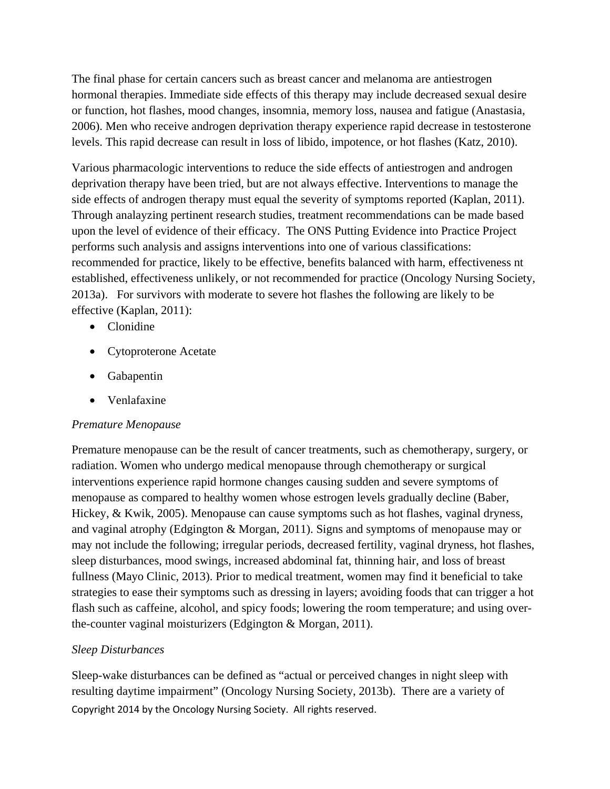The final phase for certain cancers such as breast cancer and melanoma are antiestrogen hormonal therapies. Immediate side effects of this therapy may include decreased sexual desire or function, hot flashes, mood changes, insomnia, memory loss, nausea and fatigue (Anastasia, 2006). Men who receive androgen deprivation therapy experience rapid decrease in testosterone levels. This rapid decrease can result in loss of libido, impotence, or hot flashes (Katz, 2010).

Various pharmacologic interventions to reduce the side effects of antiestrogen and androgen deprivation therapy have been tried, but are not always effective. Interventions to manage the side effects of androgen therapy must equal the severity of symptoms reported (Kaplan, 2011). Through analayzing pertinent research studies, treatment recommendations can be made based upon the level of evidence of their efficacy. The ONS Putting Evidence into Practice Project performs such analysis and assigns interventions into one of various classifications: recommended for practice, likely to be effective, benefits balanced with harm, effectiveness nt established, effectiveness unlikely, or not recommended for practice (Oncology Nursing Society, 2013a). For survivors with moderate to severe hot flashes the following are likely to be effective (Kaplan, 2011):

- Clonidine
- Cytoproterone Acetate
- Gabapentin
- Venlafaxine

# *Premature Menopause*

Premature menopause can be the result of cancer treatments, such as chemotherapy, surgery, or radiation. Women who undergo medical menopause through chemotherapy or surgical interventions experience rapid hormone changes causing sudden and severe symptoms of menopause as compared to healthy women whose estrogen levels gradually decline (Baber, Hickey, & Kwik, 2005). Menopause can cause symptoms such as hot flashes, vaginal dryness, and vaginal atrophy (Edgington & Morgan, 2011). Signs and symptoms of menopause may or may not include the following; irregular periods, decreased fertility, vaginal dryness, hot flashes, sleep disturbances, mood swings, increased abdominal fat, thinning hair, and loss of breast fullness (Mayo Clinic, 2013). Prior to medical treatment, women may find it beneficial to take strategies to ease their symptoms such as dressing in layers; avoiding foods that can trigger a hot flash such as caffeine, alcohol, and spicy foods; lowering the room temperature; and using overthe-counter vaginal moisturizers (Edgington & Morgan, 2011).

# *Sleep Disturbances*

Copyright 2014 by the Oncology Nursing Society. All rights reserved. Sleep-wake disturbances can be defined as "actual or perceived changes in night sleep with resulting daytime impairment" (Oncology Nursing Society, 2013b). There are a variety of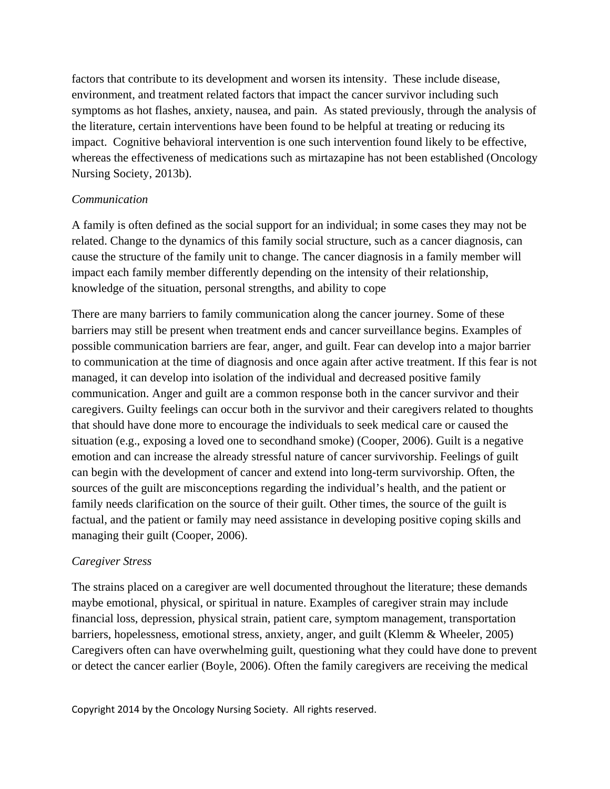factors that contribute to its development and worsen its intensity. These include disease, environment, and treatment related factors that impact the cancer survivor including such symptoms as hot flashes, anxiety, nausea, and pain. As stated previously, through the analysis of the literature, certain interventions have been found to be helpful at treating or reducing its impact. Cognitive behavioral intervention is one such intervention found likely to be effective, whereas the effectiveness of medications such as mirtazapine has not been established (Oncology Nursing Society, 2013b).

### *Communication*

A family is often defined as the social support for an individual; in some cases they may not be related. Change to the dynamics of this family social structure, such as a cancer diagnosis, can cause the structure of the family unit to change. The cancer diagnosis in a family member will impact each family member differently depending on the intensity of their relationship, knowledge of the situation, personal strengths, and ability to cope

There are many barriers to family communication along the cancer journey. Some of these barriers may still be present when treatment ends and cancer surveillance begins. Examples of possible communication barriers are fear, anger, and guilt. Fear can develop into a major barrier to communication at the time of diagnosis and once again after active treatment. If this fear is not managed, it can develop into isolation of the individual and decreased positive family communication. Anger and guilt are a common response both in the cancer survivor and their caregivers. Guilty feelings can occur both in the survivor and their caregivers related to thoughts that should have done more to encourage the individuals to seek medical care or caused the situation (e.g., exposing a loved one to secondhand smoke) (Cooper, 2006). Guilt is a negative emotion and can increase the already stressful nature of cancer survivorship. Feelings of guilt can begin with the development of cancer and extend into long-term survivorship. Often, the sources of the guilt are misconceptions regarding the individual's health, and the patient or family needs clarification on the source of their guilt. Other times, the source of the guilt is factual, and the patient or family may need assistance in developing positive coping skills and managing their guilt (Cooper, 2006).

### *Caregiver Stress*

The strains placed on a caregiver are well documented throughout the literature; these demands maybe emotional, physical, or spiritual in nature. Examples of caregiver strain may include financial loss, depression, physical strain, patient care, symptom management, transportation barriers, hopelessness, emotional stress, anxiety, anger, and guilt (Klemm & Wheeler, 2005) Caregivers often can have overwhelming guilt, questioning what they could have done to prevent or detect the cancer earlier (Boyle, 2006). Often the family caregivers are receiving the medical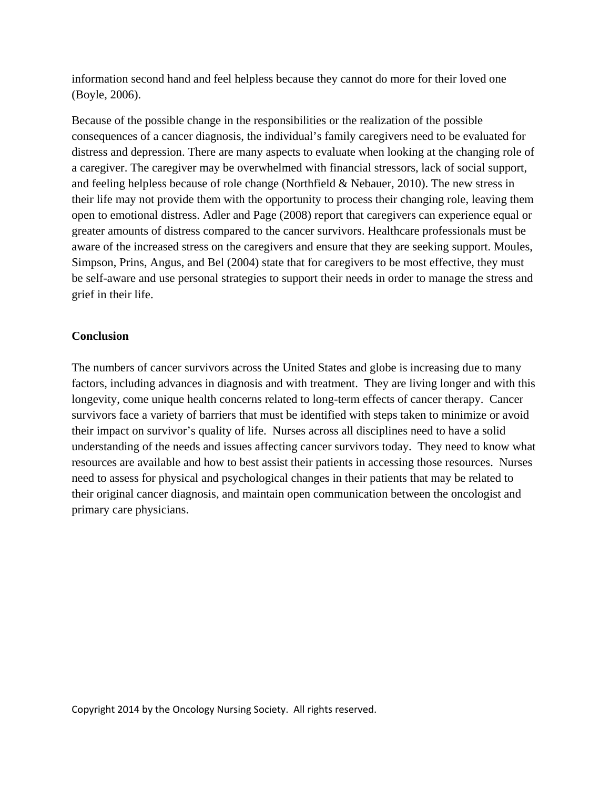information second hand and feel helpless because they cannot do more for their loved one (Boyle, 2006).

Because of the possible change in the responsibilities or the realization of the possible consequences of a cancer diagnosis, the individual's family caregivers need to be evaluated for distress and depression. There are many aspects to evaluate when looking at the changing role of a caregiver. The caregiver may be overwhelmed with financial stressors, lack of social support, and feeling helpless because of role change (Northfield & Nebauer, 2010). The new stress in their life may not provide them with the opportunity to process their changing role, leaving them open to emotional distress. Adler and Page (2008) report that caregivers can experience equal or greater amounts of distress compared to the cancer survivors. Healthcare professionals must be aware of the increased stress on the caregivers and ensure that they are seeking support. Moules, Simpson, Prins, Angus, and Bel (2004) state that for caregivers to be most effective, they must be self-aware and use personal strategies to support their needs in order to manage the stress and grief in their life.

### **Conclusion**

The numbers of cancer survivors across the United States and globe is increasing due to many factors, including advances in diagnosis and with treatment. They are living longer and with this longevity, come unique health concerns related to long-term effects of cancer therapy. Cancer survivors face a variety of barriers that must be identified with steps taken to minimize or avoid their impact on survivor's quality of life. Nurses across all disciplines need to have a solid understanding of the needs and issues affecting cancer survivors today. They need to know what resources are available and how to best assist their patients in accessing those resources. Nurses need to assess for physical and psychological changes in their patients that may be related to their original cancer diagnosis, and maintain open communication between the oncologist and primary care physicians.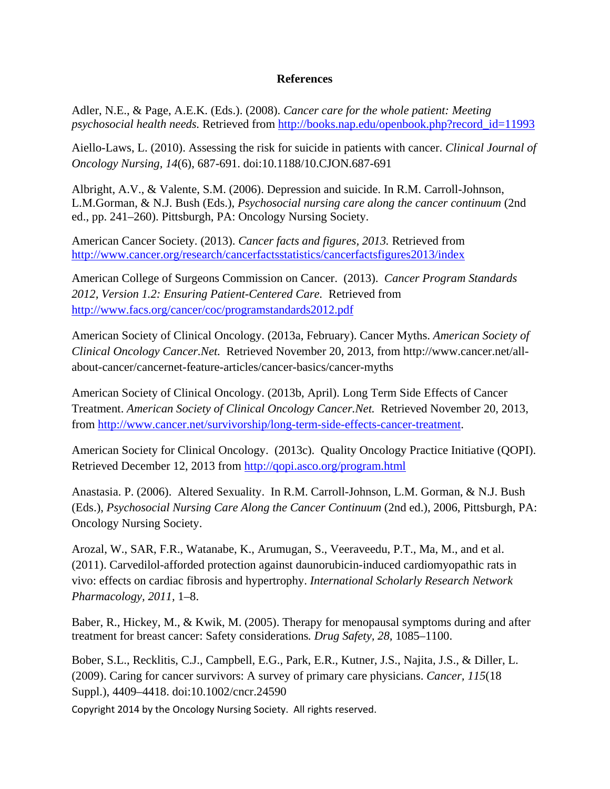### **References**

Adler, N.E., & Page, A.E.K. (Eds.). (2008). *Cancer care for the whole patient: Meeting psychosocial health needs.* Retrieved from [http://books.nap.edu/openbook.php?record\\_id=11993](http://books.nap.edu/openbook.php?record_id=11993)

Aiello-Laws, L. (2010). Assessing the risk for suicide in patients with cancer. *Clinical Journal of Oncology Nursing, 14*(6), 687-691. doi:10.1188/10.CJON.687-691

Albright, A.V., & Valente, S.M. (2006). Depression and suicide. In R.M. Carroll-Johnson, L.M.Gorman, & N.J. Bush (Eds.), *Psychosocial nursing care along the cancer continuum* (2nd ed., pp. 241–260). Pittsburgh, PA: Oncology Nursing Society.

American Cancer Society. (2013). *Cancer facts and figures, 2013.* Retrieved from <http://www.cancer.org/research/cancerfactsstatistics/cancerfactsfigures2013/index>

American College of Surgeons Commission on Cancer. (2013). *Cancer Program Standards 2012, Version 1.2: Ensuring Patient-Centered Care.* Retrieved from <http://www.facs.org/cancer/coc/programstandards2012.pdf>

American Society of Clinical Oncology. (2013a, February). Cancer Myths. *American Society of Clinical Oncology Cancer.Net.* Retrieved November 20, 2013, from http://www.cancer.net/allabout-cancer/cancernet-feature-articles/cancer-basics/cancer-myths

American Society of Clinical Oncology. (2013b, April). Long Term Side Effects of Cancer Treatment. *American Society of Clinical Oncology Cancer.Net.* Retrieved November 20, 2013, from [http://www.cancer.net/survivorship/long-term-side-effects-cancer-treatment.](http://www.cancer.net/survivorship/long-term-side-effects-cancer-treatment)

American Society for Clinical Oncology. (2013c). Quality Oncology Practice Initiative (QOPI). Retrieved December 12, 2013 from<http://qopi.asco.org/program.html>

Anastasia. P. (2006). Altered Sexuality. In R.M. Carroll-Johnson, L.M. Gorman, & N.J. Bush (Eds.), *Psychosocial Nursing Care Along the Cancer Continuum* (2nd ed.), 2006, Pittsburgh, PA: Oncology Nursing Society.

Arozal, W., SAR, F.R., Watanabe, K., Arumugan, S., Veeraveedu, P.T., Ma, M., and et al. (2011). Carvedilol-afforded protection against daunorubicin-induced cardiomyopathic rats in vivo: effects on cardiac fibrosis and hypertrophy. *International Scholarly Research Network Pharmacology, 2011,* 1–8.

Baber, R., Hickey, M., & Kwik, M. (2005). Therapy for menopausal symptoms during and after treatment for breast cancer: Safety considerations*. Drug Safety, 28,* 1085–1100.

Bober, S.L., Recklitis, C.J., Campbell, E.G., Park, E.R., Kutner, J.S., Najita, J.S., & Diller, L. (2009). Caring for cancer survivors: A survey of primary care physicians. *Cancer, 115*(18 Suppl.), 4409–4418. doi:10.1002/cncr.24590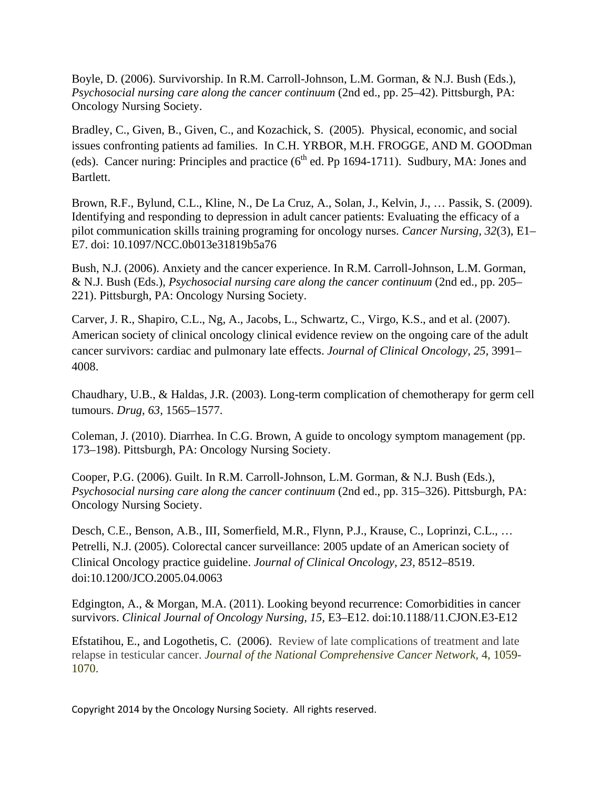Boyle, D. (2006). Survivorship. In R.M. Carroll-Johnson, L.M. Gorman, & N.J. Bush (Eds.), *Psychosocial nursing care along the cancer continuum* (2nd ed., pp. 25–42). Pittsburgh, PA: Oncology Nursing Society.

Bradley, C., Given, B., Given, C., and Kozachick, S. (2005). Physical, economic, and social issues confronting patients ad families. In C.H. YRBOR, M.H. FROGGE, AND M. GOODman (eds). Cancer nuring: Principles and practice ( $6<sup>th</sup>$  ed. Pp 1694-1711). Sudbury, MA: Jones and Bartlett.

Brown, R.F., Bylund, C.L., Kline, N., De La Cruz, A., Solan, J., Kelvin, J., … Passik, S. (2009). Identifying and responding to depression in adult cancer patients: Evaluating the efficacy of a pilot communication skills training programing for oncology nurses. *Cancer Nursing, 32*(3), E1– E7. doi: 10.1097/NCC.0b013e31819b5a76

Bush, N.J. (2006). Anxiety and the cancer experience. In R.M. Carroll-Johnson, L.M. Gorman, & N.J. Bush (Eds.), *Psychosocial nursing care along the cancer continuum* (2nd ed., pp. 205– 221). Pittsburgh, PA: Oncology Nursing Society.

Carver, J. R., Shapiro, C.L., Ng, A., Jacobs, L., Schwartz, C., Virgo, K.S., and et al. (2007). American society of clinical oncology clinical evidence review on the ongoing care of the adult cancer survivors: cardiac and pulmonary late effects. *Journal of Clinical Oncology, 25,* 3991– 4008.

Chaudhary, U.B., & Haldas, J.R. (2003). Long-term complication of chemotherapy for germ cell tumours. *Drug, 63,* 1565–1577.

Coleman, J. (2010). Diarrhea. In C.G. Brown, A guide to oncology symptom management (pp. 173–198). Pittsburgh, PA: Oncology Nursing Society.

Cooper, P.G. (2006). Guilt. In R.M. Carroll-Johnson, L.M. Gorman, & N.J. Bush (Eds.), *Psychosocial nursing care along the cancer continuum* (2nd ed., pp. 315–326). Pittsburgh, PA: Oncology Nursing Society.

Desch, C.E., Benson, A.B., III, Somerfield, M.R., Flynn, P.J., Krause, C., Loprinzi, C.L., … Petrelli, N.J. (2005). Colorectal cancer surveillance: 2005 update of an American society of Clinical Oncology practice guideline. *Journal of Clinical Oncology, 23,* 8512–8519. doi:10.1200/JCO.2005.04.0063

Edgington, A., & Morgan, M.A. (2011). Looking beyond recurrence: Comorbidities in cancer survivors. *Clinical Journal of Oncology Nursing, 15,* E3–E12. doi:10.1188/11.CJON.E3-E12

Efstatihou, E., and Logothetis, C. (2006). Review of late complications of treatment and late relapse in testicular cancer. *Journal of the National Comprehensive Cancer Network*, 4, 1059- 1070.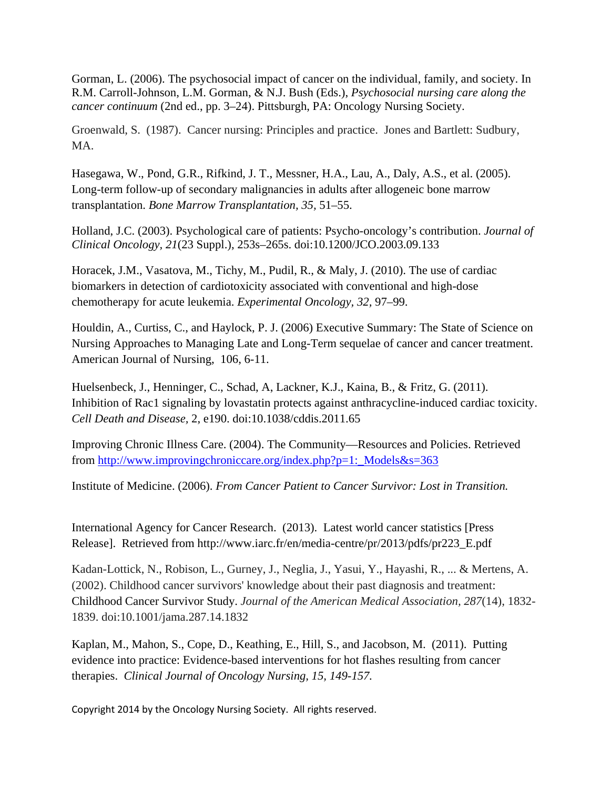Gorman, L. (2006). The psychosocial impact of cancer on the individual, family, and society. In R.M. Carroll-Johnson, L.M. Gorman, & N.J. Bush (Eds.), *Psychosocial nursing care along the cancer continuum* (2nd ed., pp. 3–24). Pittsburgh, PA: Oncology Nursing Society.

Groenwald, S. (1987). Cancer nursing: Principles and practice. Jones and Bartlett: Sudbury, MA.

Hasegawa, W., Pond, G.R., Rifkind, J. T., Messner, H.A., Lau, A., Daly, A.S., et al. (2005). Long-term follow-up of secondary malignancies in adults after allogeneic bone marrow transplantation. *Bone Marrow Transplantation, 35,* 51–55.

Holland, J.C. (2003). Psychological care of patients: Psycho-oncology's contribution. *Journal of Clinical Oncology, 21*(23 Suppl.), 253s–265s. doi:10.1200/JCO.2003.09.133

Horacek, J.M., Vasatova, M., Tichy, M., Pudil, R., & Maly, J. (2010). The use of cardiac biomarkers in detection of cardiotoxicity associated with conventional and high-dose chemotherapy for acute leukemia. *Experimental Oncology, 32,* 97–99.

Houldin, A., Curtiss, C., and Haylock, P. J. (2006) Executive Summary: The State of Science on Nursing Approaches to Managing Late and Long-Term sequelae of cancer and cancer treatment. American Journal of Nursing, 106, 6-11.

Huelsenbeck, J., Henninger, C., Schad, A, Lackner, K.J., Kaina, B., & Fritz, G. (2011). Inhibition of Rac1 signaling by lovastatin protects against anthracycline-induced cardiac toxicity. *Cell Death and Disease,* 2, e190. doi:10.1038/cddis.2011.65

Improving Chronic Illness Care. (2004). The Community—Resources and Policies. Retrieved from [http://www.improvingchroniccare.org/index.php?p=1:\\_Models&s=363](http://www.improvingchroniccare.org/index.php?p=1:_Models&s=363)

Institute of Medicine. (2006). *From Cancer Patient to Cancer Survivor: Lost in Transition.*

International Agency for Cancer Research. (2013). Latest world cancer statistics [Press Release]. Retrieved from http://www.iarc.fr/en/media-centre/pr/2013/pdfs/pr223\_E.pdf

Kadan-Lottick, N., Robison, L., Gurney, J., Neglia, J., Yasui, Y., Hayashi, R., ... & Mertens, A. (2002). Childhood cancer survivors' knowledge about their past diagnosis and treatment: Childhood Cancer Survivor Study. *Journal of the American Medical Association, 287*(14), 1832- 1839. doi:10.1001/jama.287.14.1832

Kaplan, M., Mahon, S., Cope, D., Keathing, E., Hill, S., and Jacobson, M. (2011). Putting evidence into practice: Evidence-based interventions for hot flashes resulting from cancer therapies. *Clinical Journal of Oncology Nursing, 15, 149-157.*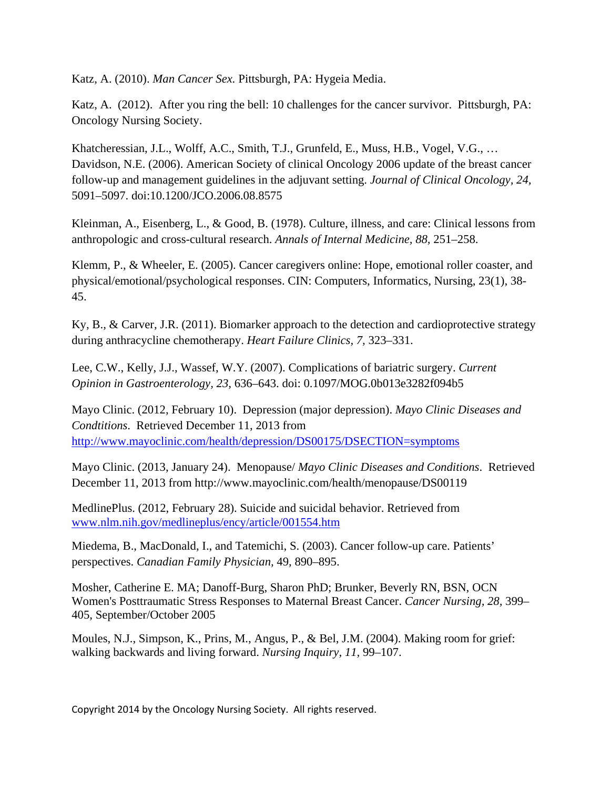Katz, A. (2010). *Man Cancer Sex.* Pittsburgh, PA: Hygeia Media.

Katz, A. (2012). After you ring the bell: 10 challenges for the cancer survivor. Pittsburgh, PA: Oncology Nursing Society.

Khatcheressian, J.L., Wolff, A.C., Smith, T.J., Grunfeld, E., Muss, H.B., Vogel, V.G., … Davidson, N.E. (2006). American Society of clinical Oncology 2006 update of the breast cancer follow-up and management guidelines in the adjuvant setting. *Journal of Clinical Oncology, 24,*  5091–5097. doi:10.1200/JCO.2006.08.8575

Kleinman, A., Eisenberg, L., & Good, B. (1978). Culture, illness, and care: Clinical lessons from anthropologic and cross-cultural research. *Annals of Internal Medicine, 88,* 251–258.

Klemm, P., & Wheeler, E. (2005). Cancer caregivers online: Hope, emotional roller coaster, and physical/emotional/psychological responses. CIN: Computers, Informatics, Nursing, 23(1), 38- 45.

Ky, B., & Carver, J.R. (2011). Biomarker approach to the detection and cardioprotective strategy during anthracycline chemotherapy. *Heart Failure Clinics, 7,* 323–331.

Lee, C.W., Kelly, J.J., Wassef, W.Y. (2007). Complications of bariatric surgery. *Current Opinion in Gastroenterology, 23,* 636–643. doi: 0.1097/MOG.0b013e3282f094b5

Mayo Clinic. (2012, February 10). Depression (major depression). *Mayo Clinic Diseases and Condtitions*. Retrieved December 11, 2013 from <http://www.mayoclinic.com/health/depression/DS00175/DSECTION=symptoms>

Mayo Clinic. (2013, January 24). Menopause/ *Mayo Clinic Diseases and Conditions*. Retrieved December 11, 2013 from http://www.mayoclinic.com/health/menopause/DS00119

MedlinePlus. (2012, February 28). Suicide and suicidal behavior. Retrieved from [www.nlm.nih.gov/medlineplus/ency/article/001554.htm](http://www.nlm.nih.gov/medlineplus/ency/article/001554.htm)

Miedema, B., MacDonald, I., and Tatemichi, S. (2003). Cancer follow-up care. Patients' perspectives. *Canadian Family Physician,* 49, 890–895.

Mosher, Catherine E. MA; Danoff-Burg, Sharon PhD; Brunker, Beverly RN, BSN, OCN [Women's Posttraumatic Stress Responses to Maternal Breast Cancer.](http://ovidsp.tx.ovid.com/sp-3.3.1a/ovidweb.cgi?&S=GJCLFPLOEFDDMFOINCCLDAOBEHNJAA00&Link+Set=S.sh.15%7c1%7csl_10) *Cancer Nursing, 28,* 399– 405, September/October 2005

Moules, N.J., Simpson, K., Prins, M., Angus, P., & Bel, J.M. (2004). Making room for grief: walking backwards and living forward. *Nursing Inquiry, 11,* 99–107.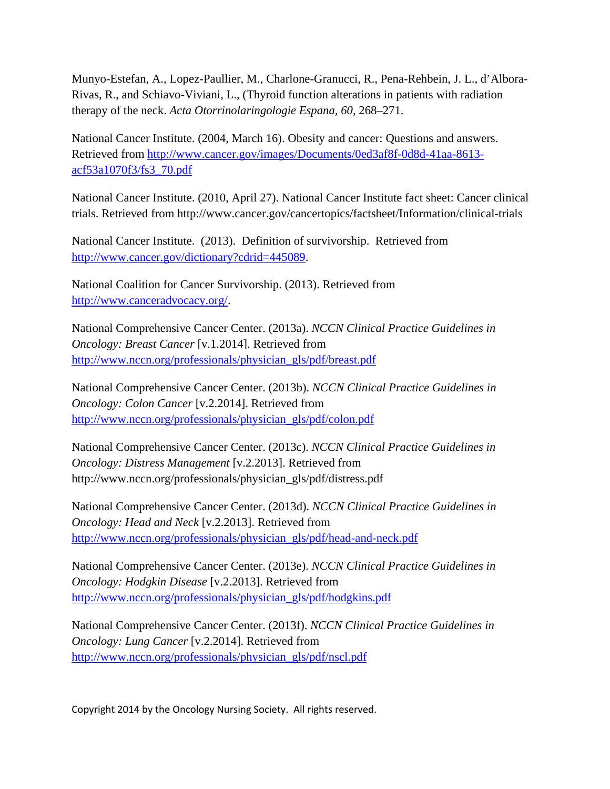Munyo-Estefan, A., Lopez-Paullier, M., Charlone-Granucci, R., Pena-Rehbein, J. L., d'Albora-Rivas, R., and Schiavo-Viviani, L., (Thyroid function alterations in patients with radiation therapy of the neck. *Acta Otorrinolaringologie Espana, 60,* 268–271.

National Cancer Institute. (2004, March 16). Obesity and cancer: Questions and answers. Retrieved from [http://www.cancer.gov/images/Documents/0ed3af8f-0d8d-41aa-8613](http://www.cancer.gov/images/Documents/0ed3af8f-0d8d-41aa-8613-acf53a1070f3/fs3_70.pdf) [acf53a1070f3/fs3\\_70.pdf](http://www.cancer.gov/images/Documents/0ed3af8f-0d8d-41aa-8613-acf53a1070f3/fs3_70.pdf) 

National Cancer Institute. (2010, April 27). National Cancer Institute fact sheet: Cancer clinical trials. Retrieved from http://www.cancer.gov/cancertopics/factsheet/Information/clinical-trials

National Cancer Institute. (2013). Definition of survivorship. Retrieved from [http://www.cancer.gov/dictionary?cdrid=445089.](http://www.cancer.gov/dictionary?cdrid=445089)

National Coalition for Cancer Survivorship. (2013). Retrieved from [http://www.canceradvocacy.org/.](http://www.canceradvocacy.org/)

National Comprehensive Cancer Center. (2013a). *NCCN Clinical Practice Guidelines in Oncology: Breast Cancer* [v.1.2014]. Retrieved from [http://www.nccn.org/professionals/physician\\_gls/pdf/breast.pdf](http://www.nccn.org/professionals/physician_gls/pdf/breast.pdf)

National Comprehensive Cancer Center. (2013b). *NCCN Clinical Practice Guidelines in Oncology: Colon Cancer* [v.2.2014]. Retrieved from [http://www.nccn.org/professionals/physician\\_gls/pdf/colon.pdf](http://www.nccn.org/professionals/physician_gls/pdf/colon.pdf)

National Comprehensive Cancer Center. (2013c). *NCCN Clinical Practice Guidelines in Oncology: Distress Management* [v.2.2013]. Retrieved from http://www.nccn.org/professionals/physician\_gls/pdf/distress.pdf

National Comprehensive Cancer Center. (2013d). *NCCN Clinical Practice Guidelines in Oncology: Head and Neck* [v.2.2013]. Retrieved from [http://www.nccn.org/professionals/physician\\_gls/pdf/head-and-neck.pdf](http://www.nccn.org/professionals/physician_gls/pdf/head-and-neck.pdf)

National Comprehensive Cancer Center. (2013e). *NCCN Clinical Practice Guidelines in Oncology: Hodgkin Disease* [v.2.2013]. Retrieved from [http://www.nccn.org/professionals/physician\\_gls/pdf/hodgkins.pdf](http://www.nccn.org/professionals/physician_gls/pdf/hodgkins.pdf)

National Comprehensive Cancer Center. (2013f). *NCCN Clinical Practice Guidelines in Oncology: Lung Cancer* [v.2.2014]. Retrieved from [http://www.nccn.org/professionals/physician\\_gls/pdf/nscl.pdf](http://www.nccn.org/professionals/physician_gls/pdf/nscl.pdf)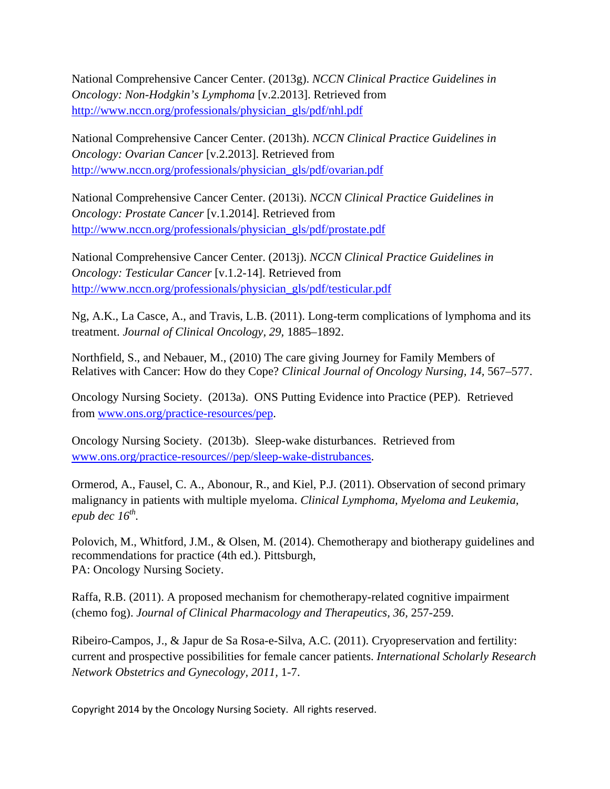National Comprehensive Cancer Center. (2013g). *NCCN Clinical Practice Guidelines in Oncology: Non-Hodgkin's Lymphoma* [v.2.2013]. Retrieved from [http://www.nccn.org/professionals/physician\\_gls/pdf/nhl.pdf](http://www.nccn.org/professionals/physician_gls/pdf/nhl.pdf)

National Comprehensive Cancer Center. (2013h). *NCCN Clinical Practice Guidelines in Oncology: Ovarian Cancer* [v.2.2013]. Retrieved from [http://www.nccn.org/professionals/physician\\_gls/pdf/ovarian.pdf](http://www.nccn.org/professionals/physician_gls/pdf/ovarian.pdf)

National Comprehensive Cancer Center. (2013i). *NCCN Clinical Practice Guidelines in Oncology: Prostate Cancer* [v.1.2014]. Retrieved from [http://www.nccn.org/professionals/physician\\_gls/pdf/prostate.pdf](http://www.nccn.org/professionals/physician_gls/pdf/prostate.pdf)

National Comprehensive Cancer Center. (2013j). *NCCN Clinical Practice Guidelines in Oncology: Testicular Cancer* [v.1.2-14]. Retrieved from [http://www.nccn.org/professionals/physician\\_gls/pdf/testicular.pdf](http://www.nccn.org/professionals/physician_gls/pdf/testicular.pdf)

Ng, A.K., La Casce, A., and Travis, L.B. (2011). Long-term complications of lymphoma and its treatment. *Journal of Clinical Oncology, 29,* 1885–1892.

Northfield, S., and Nebauer, M., (2010) The care giving Journey for Family Members of Relatives with Cancer: How do they Cope? *Clinical Journal of Oncology Nursing, 14,* 567–577.

Oncology Nursing Society. (2013a). ONS Putting Evidence into Practice (PEP). Retrieved from [www.ons.org/practice-resources/pep.](http://www.ons.org/practice-resources/pep)

Oncology Nursing Society. (2013b). Sleep-wake disturbances. Retrieved from [www.ons.org/practice-resources//pep/sleep-wake-distrubances.](http://www.ons.org/practice-resources/pep/sleep-wake-distrubances)

Ormerod, A., Fausel, C. A., Abonour, R., and Kiel, P.J. (2011). Observation of second primary malignancy in patients with multiple myeloma. *Clinical Lymphoma, Myeloma and Leukemia,*   $e$ *pub dec 16<sup>th</sup>.* 

Polovich, M., Whitford, J.M., & Olsen, M. (2014). Chemotherapy and biotherapy guidelines and recommendations for practice (4th ed.). Pittsburgh, PA: Oncology Nursing Society.

Raffa, R.B. (2011). A proposed mechanism for chemotherapy-related cognitive impairment (chemo fog). *Journal of Clinical Pharmacology and Therapeutics, 36,* 257-259.

Ribeiro-Campos, J., & Japur de Sa Rosa-e-Silva, A.C. (2011). Cryopreservation and fertility: current and prospective possibilities for female cancer patients. *International Scholarly Research Network Obstetrics and Gynecology, 2011,* 1-7.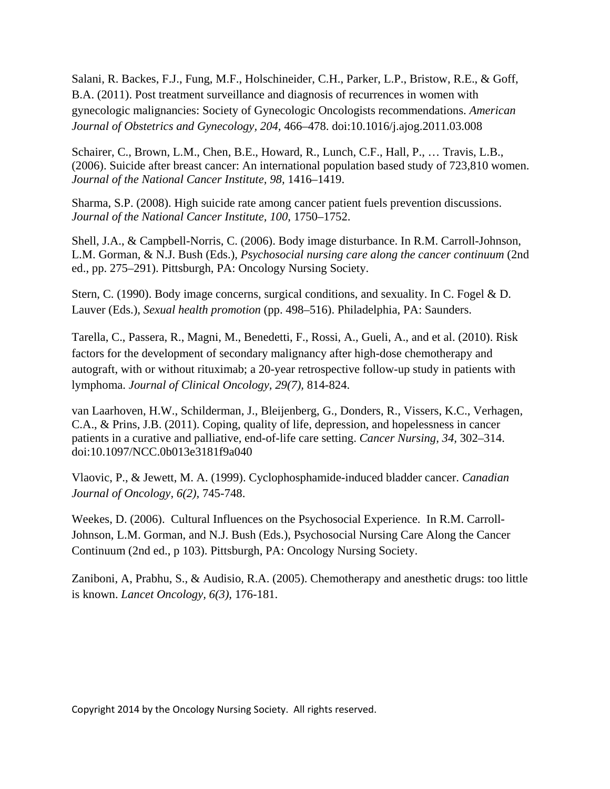Salani, R. Backes, F.J., Fung, M.F., Holschineider, C.H., Parker, L.P., Bristow, R.E., & Goff, B.A. (2011). Post treatment surveillance and diagnosis of recurrences in women with gynecologic malignancies: Society of Gynecologic Oncologists recommendations. *American Journal of Obstetrics and Gynecology, 204,* 466–478. doi:10.1016/j.ajog.2011.03.008

Schairer, C., Brown, L.M., Chen, B.E., Howard, R., Lunch, C.F., Hall, P., … Travis, L.B., (2006). Suicide after breast cancer: An international population based study of 723,810 women. *Journal of the National Cancer Institute, 98,* 1416–1419.

Sharma, S.P. (2008). High suicide rate among cancer patient fuels prevention discussions. *Journal of the National Cancer Institute, 100,* 1750–1752.

Shell, J.A., & Campbell-Norris, C. (2006). Body image disturbance. In R.M. Carroll-Johnson, L.M. Gorman, & N.J. Bush (Eds.), *Psychosocial nursing care along the cancer continuum* (2nd ed., pp. 275–291). Pittsburgh, PA: Oncology Nursing Society.

Stern, C. (1990). Body image concerns, surgical conditions, and sexuality. In C. Fogel & D. Lauver (Eds.), *Sexual health promotion* (pp. 498–516). Philadelphia, PA: Saunders.

Tarella, C., Passera, R., Magni, M., Benedetti, F., Rossi, A., Gueli, A., and et al. (2010). Risk factors for the development of secondary malignancy after high-dose chemotherapy and autograft, with or without rituximab; a 20-year retrospective follow-up study in patients with lymphoma. *Journal of Clinical Oncology, 29(7),* 814-824.

van Laarhoven, H.W., Schilderman, J., Bleijenberg, G., Donders, R., Vissers, K.C., Verhagen, C.A., & Prins, J.B. (2011). Coping, quality of life, depression, and hopelessness in cancer patients in a curative and palliative, end-of-life care setting. *Cancer Nursing, 34,* 302–314. doi:10.1097/NCC.0b013e3181f9a040

Vlaovic, P., & Jewett, M. A. (1999). Cyclophosphamide-induced bladder cancer. *Canadian Journal of Oncology, 6(2),* 745-748.

Weekes, D. (2006). Cultural Influences on the Psychosocial Experience. In R.M. Carroll-Johnson, L.M. Gorman, and N.J. Bush (Eds.), Psychosocial Nursing Care Along the Cancer Continuum (2nd ed., p 103). Pittsburgh, PA: Oncology Nursing Society.

Zaniboni, A, Prabhu, S., & Audisio, R.A. (2005). Chemotherapy and anesthetic drugs: too little is known. *Lancet Oncology, 6(3),* 176-181.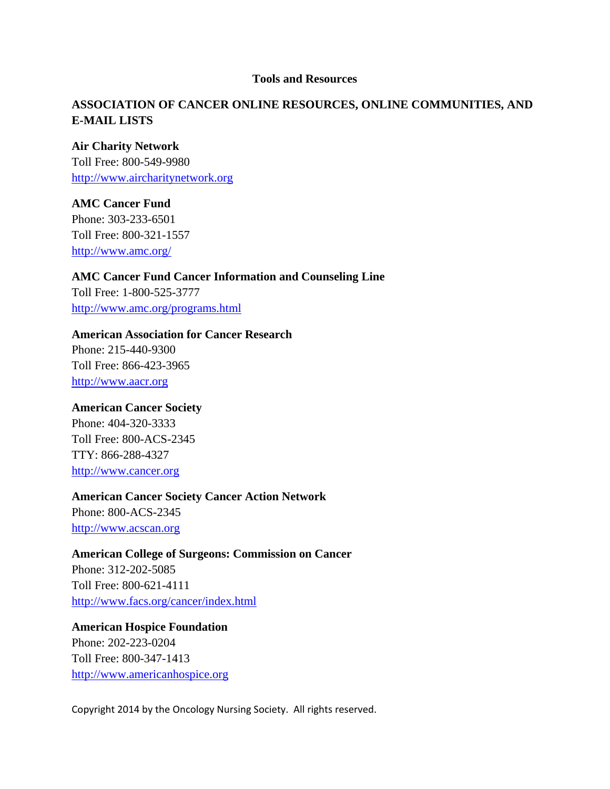#### **Tools and Resources**

# **ASSOCIATION OF CANCER ONLINE RESOURCES, ONLINE COMMUNITIES, AND E-MAIL LISTS**

#### **Air Charity Network**

Toll Free: 800-549-9980 [http://www.aircharitynetwork.org](http://www.aircharitynetwork.org/)

### **AMC Cancer Fund**

Phone: 303-233-6501 Toll Free: 800-321-1557 <http://www.amc.org/>

### **AMC Cancer Fund Cancer Information and Counseling Line**

Toll Free: 1-800-525-3777 <http://www.amc.org/programs.html>

#### **American Association for Cancer Research**

Phone: 215-440-9300 Toll Free: 866-423-3965 [http://www.aacr.org](http://www.aacr.org/)

### **American Cancer Society**

Phone: 404-320-3333 Toll Free: 800-ACS-2345 TTY: 866-288-4327 [http://www.cancer.org](http://www.cancer.org/)

### **American Cancer Society Cancer Action Network**

Phone: 800-ACS-2345 [http://www.acscan.org](http://www.acscan.org/)

### **American College of Surgeons: Commission on Cancer**

Phone: 312-202-5085 Toll Free: 800-621-4111 <http://www.facs.org/cancer/index.html>

# **American Hospice Foundation** Phone: 202-223-0204 Toll Free: 800-347-1413 [http://www.americanhospice.org](http://www.americanhospice.org/)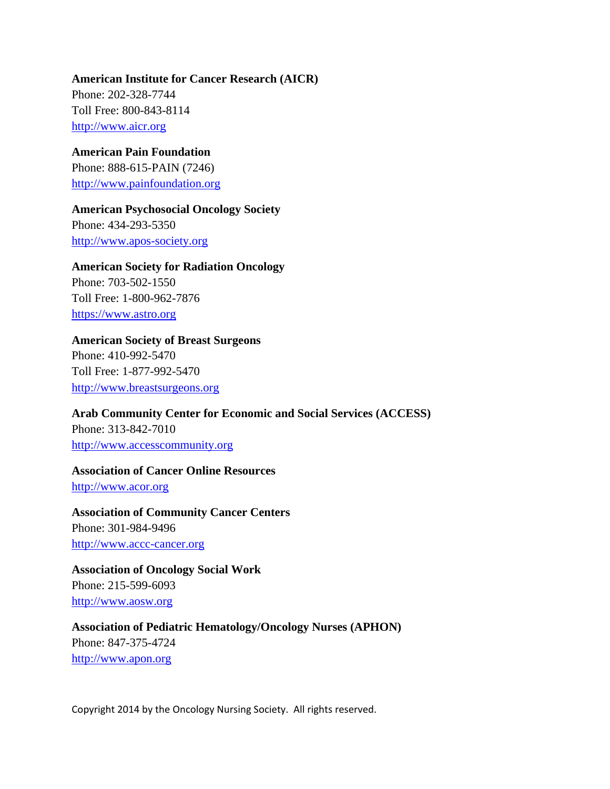**American Institute for Cancer Research (AICR)** Phone: 202-328-7744 Toll Free: 800-843-8114 [http://www.aicr.org](http://www.aicr.org/)

**American Pain Foundation** Phone: 888-615-PAIN (7246) [http://www.painfoundation.org](http://www.painfoundation.org/)

**American Psychosocial Oncology Society** Phone: 434-293-5350

[http://www.apos-society.org](http://www.apos-society.org/)

#### **American Society for Radiation Oncology**

Phone: 703-502-1550 Toll Free: 1-800-962-7876 [https://www.astro.org](https://www.astro.org/)

**American Society of Breast Surgeons** Phone: 410-992-5470 Toll Free: 1-877-992-5470 [http://www.breastsurgeons.org](http://www.breastsurgeons.org/)

**Arab Community Center for Economic and Social Services (ACCESS)** Phone: 313-842-7010 [http://www.accesscommunity.org](http://www.accesscommunity.org/)

**Association of Cancer Online Resources** [http://www.acor.org](http://www.acor.org/)

**Association of Community Cancer Centers**  Phone: 301-984-9496 [http://www.accc-cancer.org](http://www.accc-cancer.org/)

**Association of Oncology Social Work** Phone: 215-599-6093 [http://www.aosw.org](http://www.aosw.org/)

**Association of Pediatric Hematology/Oncology Nurses (APHON)** Phone: 847-375-4724 [http://www.apon.org](http://www.apon.org/)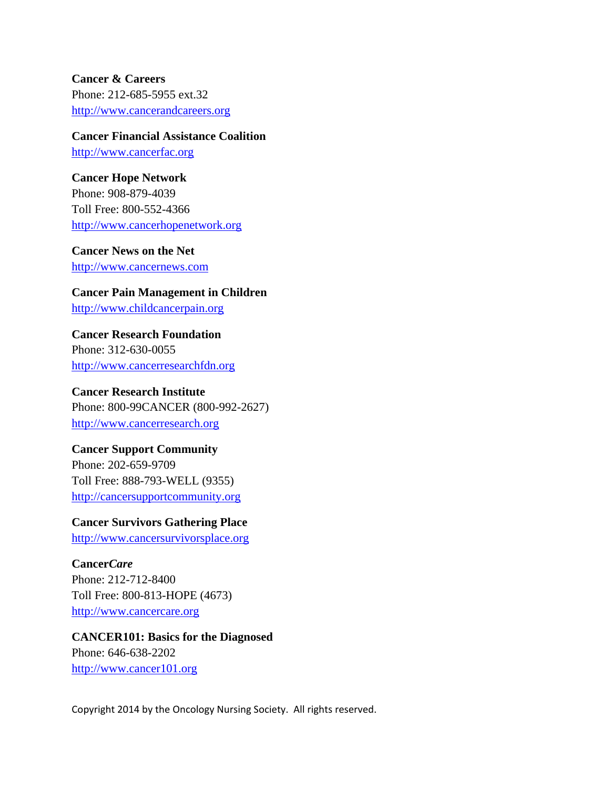**Cancer & Careers** Phone: 212-685-5955 ext.32 [http://www.cancerandcareers.org](http://www.cancerandcareers.org/)

**Cancer Financial Assistance Coalition** [http://www.cancerfac.org](http://www.cancerfac.org/)

**Cancer Hope Network** Phone: 908-879-4039 Toll Free: 800-552-4366 [http://www.cancerhopenetwork.org](http://www.cancerhopenetwork.org/)

**Cancer News on the Net** [http://www.cancernews.com](http://www.cancernews.com/)

**Cancer Pain Management in Children** [http://www.childcancerpain.org](http://www.childcancerpain.org/)

**Cancer Research Foundation** Phone: 312-630-0055 [http://www.cancerresearchfdn.org](http://www.cancerresearchfdn.org/)

**Cancer Research Institute** Phone: 800-99CANCER (800-992-2627) [http://www.cancerresearch.org](http://www.cancerresearch.org/)

**Cancer Support Community** Phone: 202-659-9709

Toll Free: 888-793-WELL (9355) [http://cancersupportcommunity.org](http://cancersupportcommunity.org/)

**Cancer Survivors Gathering Place** [http://www.cancersurvivorsplace.org](http://www.cancersurvivorsplace.org/) 

**Cancer***Care* Phone: 212-712-8400 Toll Free: 800-813-HOPE (4673) [http://www.cancercare.org](http://www.cancercare.org/)

**CANCER101: Basics for the Diagnosed** Phone: 646-638-2202 [http://www.cancer101.org](http://www.cancer101.org/)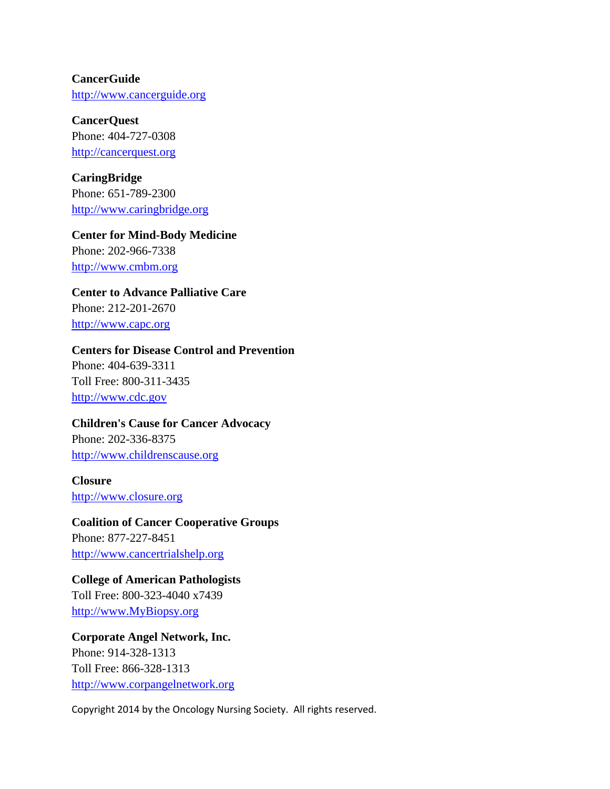**CancerGuide** [http://www.cancerguide.org](http://www.cancerguide.org/)

**CancerQuest** Phone: 404-727-0308 [http://cancerquest.org](http://cancerquest.org/)

**CaringBridge** Phone: 651-789-2300 [http://www.caringbridge.org](http://www.caringbridge.org/)

**Center for Mind-Body Medicine** Phone: 202-966-7338 [http://www.cmbm.org](http://www.cmbm.org/)

**Center to Advance Palliative Care**  Phone: 212-201-2670

[http://www.capc.org](http://www.capc.org/)

#### **Centers for Disease Control and Prevention**

Phone: 404-639-3311 Toll Free: 800-311-3435 [http://www.cdc.gov](http://www.cdc.gov/)

### **Children's Cause for Cancer Advocacy**

Phone: 202-336-8375 [http://www.childrenscause.org](http://www.childrenscause.org/)

**Closure** [http://www.closure.org](http://www.closure.org/)

# **Coalition of Cancer Cooperative Groups**

Phone: 877-227-8451 [http://www.cancertrialshelp.org](http://www.cancertrialshelp.org/)

#### **College of American Pathologists**

Toll Free: 800-323-4040 x7439 [http://www.MyBiopsy.org](http://www.mybiopsy.org/)

**Corporate Angel Network, Inc.** Phone: 914-328-1313 Toll Free: 866-328-1313 [http://www.corpangelnetwork.org](http://www.corpangelnetwork.org/)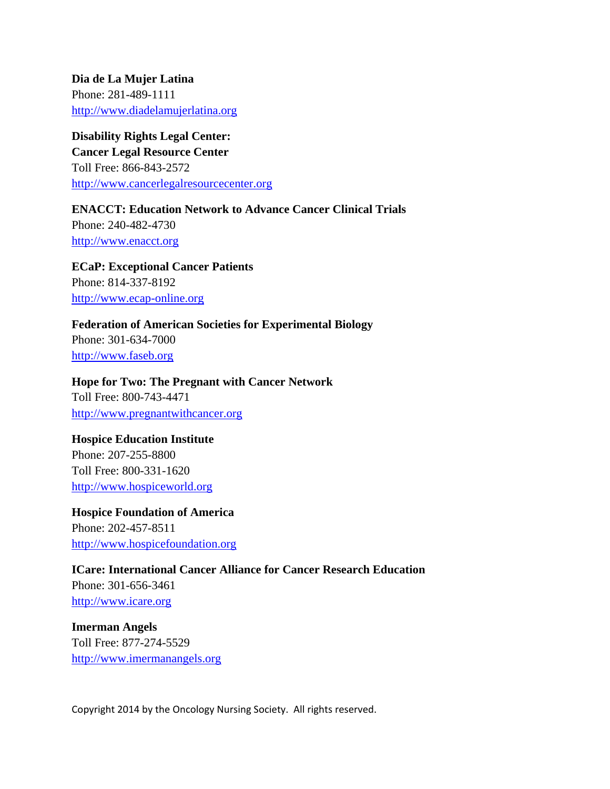**Dia de La Mujer Latina** Phone: 281-489-1111 [http://www.diadelamujerlatina.org](http://www.diadelamujerlatina.org/)

# **Disability Rights Legal Center:**

**Cancer Legal Resource Center** Toll Free: 866-843-2572 [http://www.cancerlegalresourcecenter.org](http://www.cancerlegalresourcecenter.org/)

**ENACCT: Education Network to Advance Cancer Clinical Trials** Phone: 240-482-4730 [http://www.enacct.org](http://www.enacct.org/)

**ECaP: Exceptional Cancer Patients**  Phone: 814-337-8192 [http://www.ecap-online.org](http://www.ecap-online.org/)

**Federation of American Societies for Experimental Biology**  Phone: 301-634-7000 [http://www.faseb.org](http://www.faseb.org/)

# **Hope for Two: The Pregnant with Cancer Network**

Toll Free: 800-743-4471 [http://www.pregnantwithcancer.org](http://www.pregnantwithcancer.org/)

### **Hospice Education Institute**

Phone: 207-255-8800 Toll Free: 800-331-1620 [http://www.hospiceworld.org](http://www.hospiceworld.org/)

**Hospice Foundation of America** Phone: 202-457-8511 [http://www.hospicefoundation.org](http://www.hospicefoundation.org/)

**ICare: International Cancer Alliance for Cancer Research Education** Phone: 301-656-3461 [http://www.icare.org](http://www.icare.org/)

**Imerman Angels** Toll Free: 877-274-5529 [http://www.imermanangels.org](http://www.imermanangels.org/)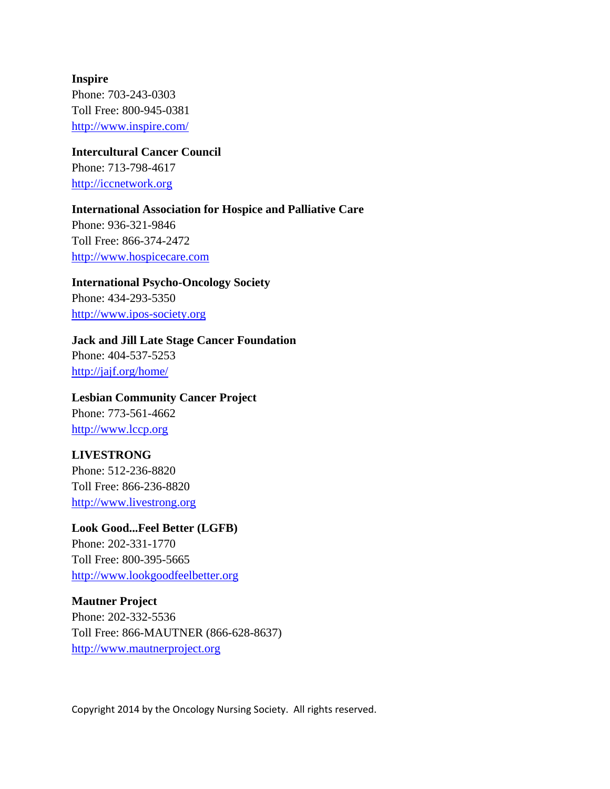**Inspire** Phone: 703-243-0303 Toll Free: 800-945-0381 <http://www.inspire.com/>

**Intercultural Cancer Council**  Phone: 713-798-4617

[http://iccnetwork.org](http://iccnetwork.org/)

### **International Association for Hospice and Palliative Care**

Phone: 936-321-9846 Toll Free: 866-374-2472 [http://www.hospicecare.com](http://www.hospicecare.com/)

**International Psycho-Oncology Society** Phone: 434-293-5350 [http://www.ipos-society.org](http://www.ipos-society.org/)

**Jack and Jill Late Stage Cancer Foundation** Phone: 404-537-5253 <http://jajf.org/home/>

**Lesbian Community Cancer Project** Phone: 773-561-4662 [http://www.lccp.org](http://www.lccp.org/)

# **LIVESTRONG**

Phone: 512-236-8820 Toll Free: 866-236-8820 [http://www.livestrong.org](http://www.livestrong.org/)

**Look Good...Feel Better (LGFB)**

Phone: 202-331-1770 Toll Free: 800-395-5665 [http://www.lookgoodfeelbetter.org](http://www.lookgoodfeelbetter.org/)

**Mautner Project** Phone: 202-332-5536 Toll Free: 866-MAUTNER (866-628-8637) [http://www.mautnerproject.org](http://www.mautnerproject.org/)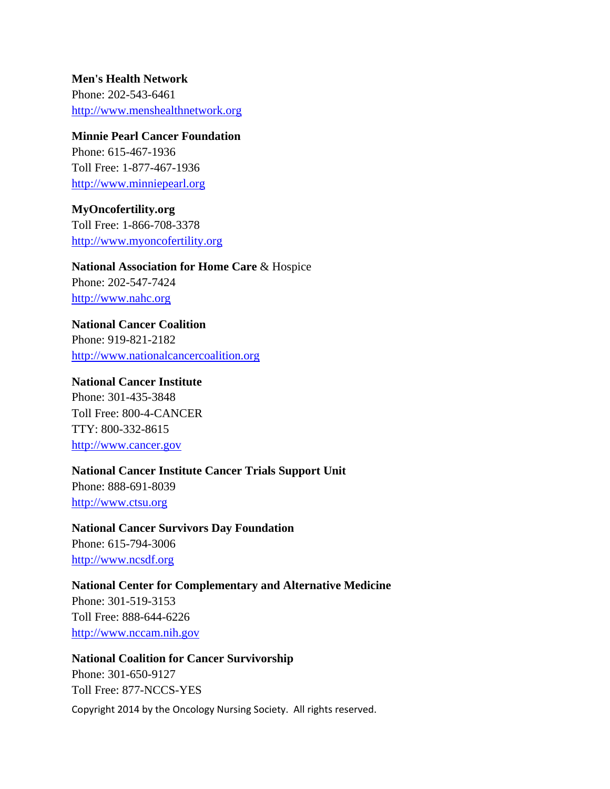**Men's Health Network** Phone: 202-543-6461 [http://www.menshealthnetwork.org](http://www.menshealthnetwork.org/)

#### **Minnie Pearl Cancer Foundation**

Phone: 615-467-1936 Toll Free: 1-877-467-1936 [http://www.minniepearl.org](http://www.minniepearl.org/)

### **MyOncofertility.org**

Toll Free: 1-866-708-3378 [http://www.myoncofertility.org](http://www.myoncofertility.org/)

# **National Association for Home Care** & Hospice Phone: 202-547-7424 [http://www.nahc.org](http://www.nahc.org/)

**National Cancer Coalition** Phone: 919-821-2182 [http://www.nationalcancercoalition.org](http://www.nationalcancercoalition.org/)

#### **National Cancer Institute**

Phone: 301-435-3848 Toll Free: 800-4-CANCER TTY: 800-332-8615 [http://www.cancer.gov](http://www.cancer.gov/)

### **National Cancer Institute Cancer Trials Support Unit**

Phone: 888-691-8039 [http://www.ctsu.org](http://www.ctsu.org/)

**National Cancer Survivors Day Foundation** Phone: 615-794-3006 [http://www.ncsdf.org](http://www.ncsdf.org/)

# **National Center for Complementary and Alternative Medicine**

Phone: 301-519-3153 Toll Free: 888-644-6226 [http://www.nccam.nih.gov](http://www.nccam.nih.gov/)

# **National Coalition for Cancer Survivorship**  Phone: 301-650-9127 Toll Free: 877-NCCS-YES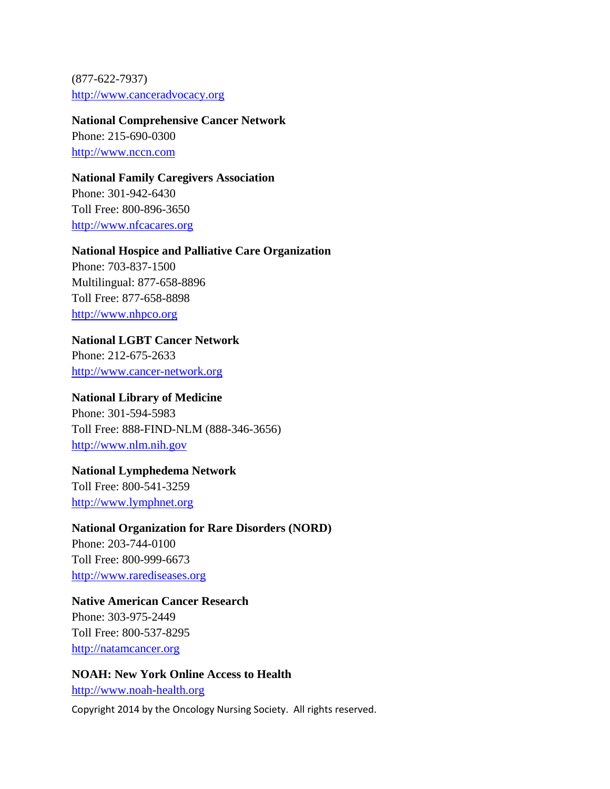(877-622-7937) [http://www.canceradvocacy.org](http://www.canceradvocacy.org/)

#### **National Comprehensive Cancer Network**

Phone: 215-690-0300 [http://www.nccn.com](http://www.nccn.com/)

#### **National Family Caregivers Association**

Phone: 301-942-6430 Toll Free: 800-896-3650 [http://www.nfcacares.org](http://www.nfcacares.org/)

#### **National Hospice and Palliative Care Organization**

Phone: 703-837-1500 Multilingual: 877-658-8896 Toll Free: 877-658-8898 [http://www.nhpco.org](http://www.nhpco.org/)

### **National LGBT Cancer Network**

Phone: 212-675-2633 [http://www.cancer-network.org](http://www.cancer-network.org/)

# **National Library of Medicine**

Phone: 301-594-5983 Toll Free: 888-FIND-NLM (888-346-3656) [http://www.nlm.nih.gov](http://www.nlm.nih.gov/)

#### **National Lymphedema Network**

Toll Free: 800-541-3259 [http://www.lymphnet.org](http://www.lymphnet.org/)

#### **National Organization for Rare Disorders (NORD)**

Phone: 203-744-0100 Toll Free: 800-999-6673 [http://www.rarediseases.org](http://www.rarediseases.org/)

### **Native American Cancer Research**

Phone: 303-975-2449 Toll Free: 800-537-8295 [http://natamcancer.org](http://natamcancer.org/)

# **NOAH: New York Online Access to Health**

[http://www.noah-health.org](http://www.noah-health.org/)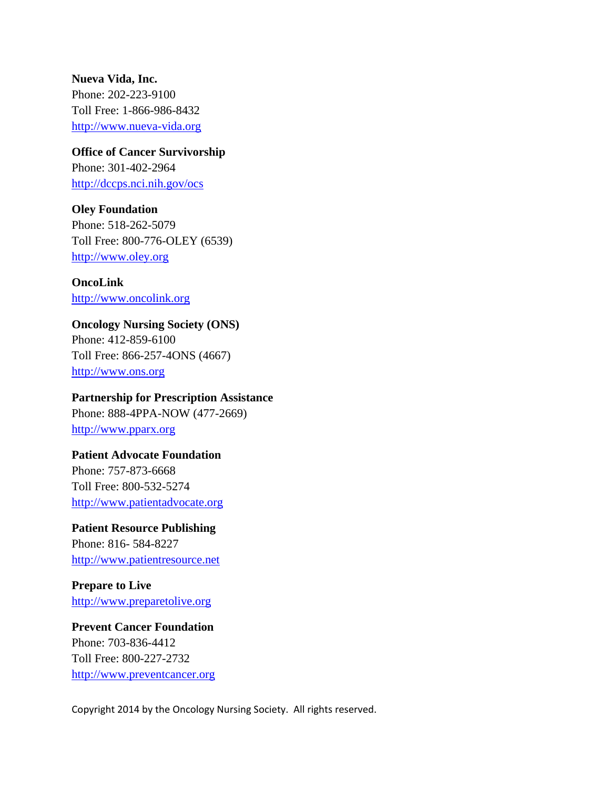**Nueva Vida, Inc.** Phone: 202-223-9100 Toll Free: 1-866-986-8432 [http://www.nueva-vida.org](http://www.nueva-vida.org/)

**Office of Cancer Survivorship** Phone: 301-402-2964 <http://dccps.nci.nih.gov/ocs>

**Oley Foundation** Phone: 518-262-5079 Toll Free: 800-776-OLEY (6539) [http://www.oley.org](http://www.oley.org/)

**OncoLink** [http://www.oncolink.org](http://www.oncolink.org/)

**Oncology Nursing Society (ONS)** Phone: 412-859-6100 Toll Free: 866-257-4ONS (4667) [http://www.ons.org](http://www.ons.org/)

**Partnership for Prescription Assistance** Phone: 888-4PPA-NOW (477-2669) [http://www.pparx.org](http://www.pparx.org/)

**Patient Advocate Foundation** Phone: 757-873-6668 Toll Free: 800-532-5274 [http://www.patientadvocate.org](http://www.patientadvocate.org/)

**Patient Resource Publishing** Phone: 816- 584-8227 [http://www.patientresource.net](http://www.patientresource.net/)

**Prepare to Live** [http://www.preparetolive.org](http://www.preparetolive.org/)

**Prevent Cancer Foundation** Phone: 703-836-4412 Toll Free: 800-227-2732 [http://www.preventcancer.org](http://www.preventcancer.org/)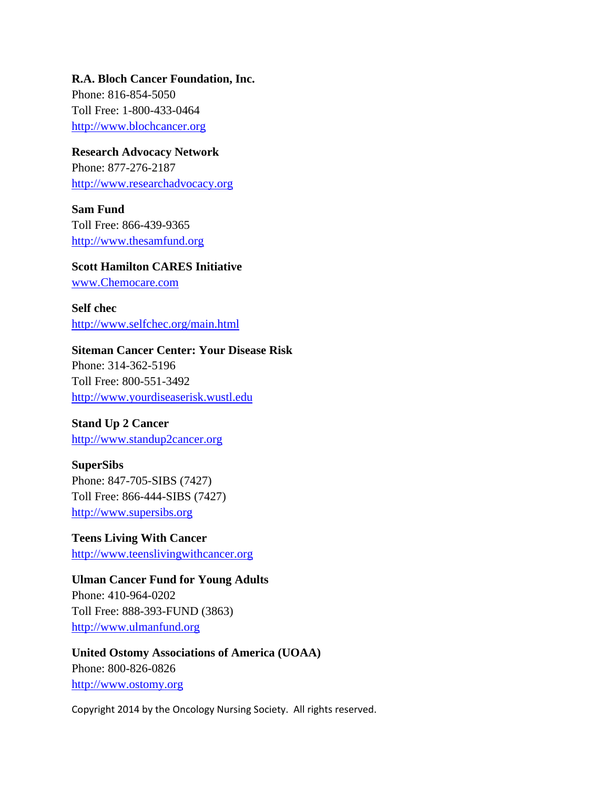**R.A. Bloch Cancer Foundation, Inc.**

Phone: 816-854-5050 Toll Free: 1-800-433-0464 [http://www.blochcancer.org](http://www.blochcancer.org/)

**Research Advocacy Network** Phone: 877-276-2187 [http://www.researchadvocacy.org](http://www.researchadvocacy.org/)

**Sam Fund** Toll Free: 866-439-9365 [http://www.thesamfund.org](http://www.thesamfund.org/)

#### **Scott Hamilton CARES Initiative**

[www.Chemocare.com](http://www.chemocare.com/)

**Self chec** <http://www.selfchec.org/main.html>

#### **Siteman Cancer Center: Your Disease Risk**

Phone: 314-362-5196 Toll Free: 800-551-3492 [http://www.yourdiseaserisk.wustl.edu](http://www.yourdiseaserisk.wustl.edu/)

### **Stand Up 2 Cancer**

[http://www.standup2cancer.org](http://www.standup2cancer.org/)

#### **SuperSibs**

Phone: 847-705-SIBS (7427) Toll Free: 866-444-SIBS (7427) [http://www.supersibs.org](http://www.supersibs.org/)

**Teens Living With Cancer** [http://www.teenslivingwithcancer.org](http://www.teenslivingwithcancer.org/)

**Ulman Cancer Fund for Young Adults** Phone: 410-964-0202 Toll Free: 888-393-FUND (3863) [http://www.ulmanfund.org](http://www.ulmanfund.org/)

**United Ostomy Associations of America (UOAA)** Phone: 800-826-0826 [http://www.ostomy.org](http://www.ostomy.org/)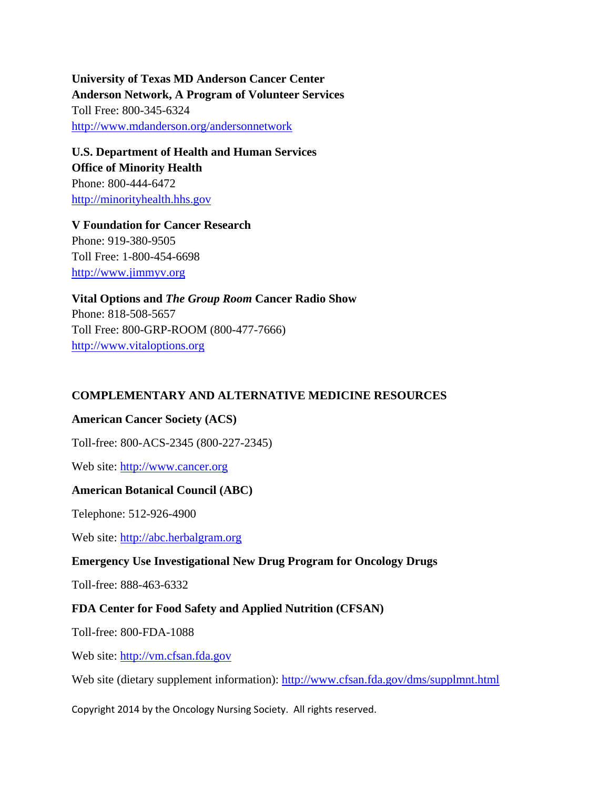**University of Texas MD Anderson Cancer Center Anderson Network, A Program of Volunteer Services** Toll Free: 800-345-6324 <http://www.mdanderson.org/andersonnetwork>

**U.S. Department of Health and Human Services Office of Minority Health** Phone: 800-444-6472 [http://minorityhealth.hhs.gov](http://minorityhealth.hhs.gov/)

**V Foundation for Cancer Research** Phone: 919-380-9505 Toll Free: 1-800-454-6698 [http://www.jimmyv.org](http://www.jimmyv.org/)

**Vital Options and** *The Group Room* **Cancer Radio Show** Phone: 818-508-5657 Toll Free: 800-GRP-ROOM (800-477-7666) [http://www.vitaloptions.org](http://www.vitaloptions.org/)

# **COMPLEMENTARY AND ALTERNATIVE MEDICINE RESOURCES**

#### **American Cancer Society (ACS)**

Toll-free: 800-ACS-2345 (800-227-2345)

Web site: [http://www.cancer.org](http://www.cancer.org/)

#### **American Botanical Council (ABC)**

Telephone: 512-926-4900

Web site: [http://abc.herbalgram.org](http://abc.herbalgram.org/)

#### **Emergency Use Investigational New Drug Program for Oncology Drugs**

Toll-free: 888-463-6332

#### **FDA Center for Food Safety and Applied Nutrition (CFSAN)**

Toll-free: 800-FDA-1088

Web site: [http://vm.cfsan.fda.gov](http://vm.cfsan.fda.gov/)

Web site (dietary supplement information):<http://www.cfsan.fda.gov/dms/supplmnt.html>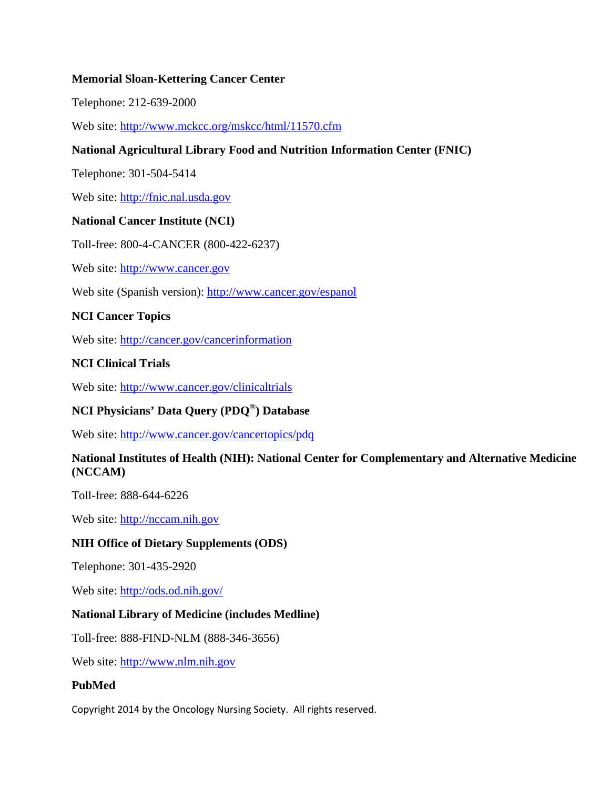### **Memorial Sloan-Kettering Cancer Center**

Telephone: 212-639-2000

Web site:<http://www.mckcc.org/mskcc/html/11570.cfm>

# **National Agricultural Library Food and Nutrition Information Center (FNIC)**

Telephone: 301-504-5414

Web site: [http://fnic.nal.usda.gov](http://fnic.nal.usda.gov/)

# **National Cancer Institute (NCI)**

Toll-free: 800-4-CANCER (800-422-6237)

Web site: [http://www.cancer.gov](http://www.cancer.gov/)

Web site (Spanish version):<http://www.cancer.gov/espanol>

### **NCI Cancer Topics**

Web site:<http://cancer.gov/cancerinformation>

### **NCI Clinical Trials**

Web site:<http://www.cancer.gov/clinicaltrials>

# **NCI Physicians' Data Query (PDQ®) Database**

Web site:<http://www.cancer.gov/cancertopics/pdq>

### **National Institutes of Health (NIH): National Center for Complementary and Alternative Medicine (NCCAM)**

Toll-free: 888-644-6226

Web site: [http://nccam.nih.gov](http://nccam.nih.gov/)

### **NIH Office of Dietary Supplements (ODS)**

Telephone: 301-435-2920

Web site:<http://ods.od.nih.gov/>

### **National Library of Medicine (includes Medline)**

Toll-free: 888-FIND-NLM (888-346-3656)

Web site: [http://www.nlm.nih.gov](http://www.nlm.nih.gov/)

### **PubMed**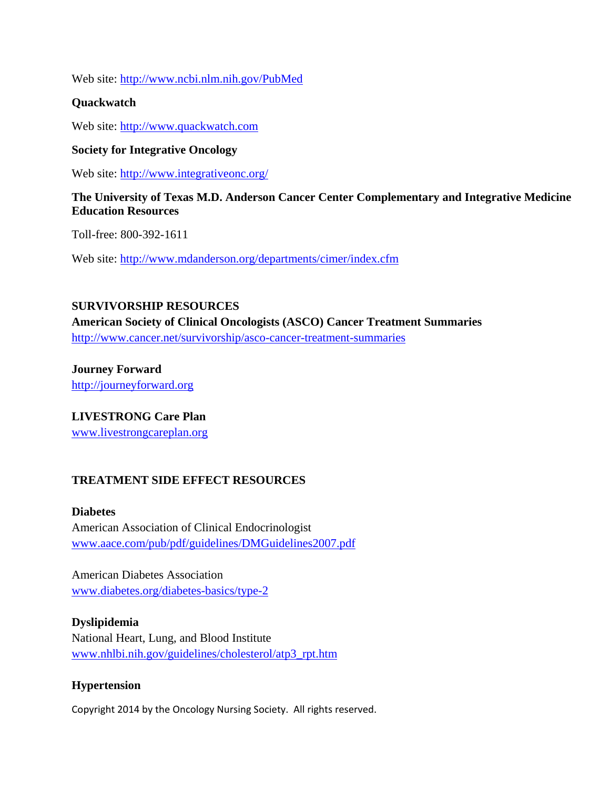Web site:<http://www.ncbi.nlm.nih.gov/PubMed>

### **Quackwatch**

Web site: [http://www.quackwatch.com](http://www.quackwatch.com/)

### **Society for Integrative Oncology**

Web site:<http://www.integrativeonc.org/>

### **The University of Texas M.D. Anderson Cancer Center Complementary and Integrative Medicine Education Resources**

Toll-free: 800-392-1611

Web site:<http://www.mdanderson.org/departments/cimer/index.cfm>

# **SURVIVORSHIP RESOURCES**

**American Society of Clinical Oncologists (ASCO) Cancer Treatment Summaries** <http://www.cancer.net/survivorship/asco-cancer-treatment-summaries>

**Journey Forward** [http://journeyforward.org](http://journeyforward.org/)

**LIVESTRONG Care Plan** [www.livestrongcareplan.org](http://www.livestrongcareplan.org/)

# **TREATMENT SIDE EFFECT RESOURCES**

### **Diabetes**

American Association of Clinical Endocrinologist [www.aace.com/pub/pdf/guidelines/DMGuidelines2007.pdf](http://www.aace.com/pub/pdf/guidelines/DMGuidelines2007.pdf)

American Diabetes Association [www.diabetes.org/diabetes-basics/type-2](http://www.diabetes.org/diabetes-basics/type-2)

# **Dyslipidemia**

National Heart, Lung, and Blood Institute [www.nhlbi.nih.gov/guidelines/cholesterol/atp3\\_rpt.htm](http://www.nhlbi.nih.gov/guidelines/cholesterol/atp3_rpt.htm)

# **Hypertension**